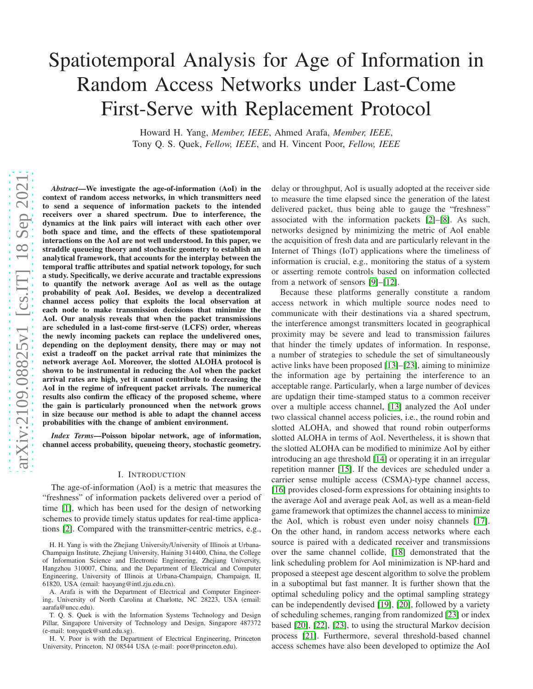# Spatiotemporal Analysis for Age of Information in Random Access Networks under Last-Come First-Serve with Replacement Protocol

Howard H. Yang, *Member, IEEE*, Ahmed Arafa, *Member, IEEE* , Tony Q. S. Quek, *Fellow, IEEE*, and H. Vincent Poor, *Fellow, IEEE*

*Abstract*—We investigate the age-of-information (AoI) in the context of random access networks, in which transmitters need to send a sequence of information packets to the intended receivers over a shared spectrum. Due to interference, the dynamics at the link pairs will interact with each other over both space and time, and the effects of these spatiotemporal interactions on the AoI are not well understood. In this paper, we straddle queueing theory and stochastic geometry to establish an analytical framework, that accounts for the interplay between the temporal traffic attributes and spatial network topology, for such a study. Specifically, we derive accurate and tractable expressions to quantify the network average AoI as well as the outage probability of peak AoI. Besides, we develop a decentralize d channel access policy that exploits the local observation a t each node to make transmission decisions that minimize the AoI. Our analysis reveals that when the packet transmission s are scheduled in a last-come first-serve (LCFS) order, whereas the newly incoming packets can replace the undelivered ones , depending on the deployment density, there may or may not exist a tradeoff on the packet arrival rate that minimizes th e network average AoI. Moreover, the slotted ALOHA protocol i s shown to be instrumental in reducing the AoI when the packet arrival rates are high, yet it cannot contribute to decreasing the AoI in the regime of infrequent packet arrivals. The numerical results also confirm the efficacy of the proposed scheme, wher e the gain is particularly pronounced when the network grows in size because our method is able to adapt the channel access probabilities with the change of ambient environment.

*Index Terms*—Poisson bipolar network, age of information, channel access probability, queueing theory, stochastic geometry.

#### I. INTRODUCTION

The age-of-information (AoI) is a metric that measures the "freshness" of information packets delivered over a period of time [\[1\]](#page-14-0), which has been used for the design of networking schemes to provide timely status updates for real-time applications [\[2\]](#page-14-1). Compared with the transmitter-centric metrics, e.g.,

H. H. Yang is with the Zhejiang University/University of Illinois at Urbana-Champaign Institute, Zhejiang University, Haining 314400, China, the College of Information Science and Electronic Engineering, Zhejiang University, Hangzhou 310007, China, and the Department of Electrical and Computer Engineering, University of Illinois at Urbana-Champaign, Champaign, IL 61820, USA (email: haoyang@intl.zju.edu.cn).

A. Arafa is with the Department of Electrical and Computer Engineering, University of North Carolina at Charlotte, NC 28223, USA (email: aarafa@uncc.edu).

T. Q. S. Quek is with the Information Systems Technology and Design Pillar, Singapore University of Technology and Design, Singapore 487372 (e-mail: tonyquek@sutd.edu.sg).

H. V. Poor is with the Department of Electrical Engineering, Princeton University, Princeton, NJ 08544 USA (e-mail: poor@princeton.edu).

delay or throughput, AoI is usually adopted at the receiver side to measure the time elapsed since the generation of the lates t delivered packet, thus being able to gauge the "freshness" associated with the information packets [\[2\]](#page-14-1)–[\[8\]](#page-14-2). As such, networks designed by minimizing the metric of AoI enable the acquisition of fresh data and are particularly relevant in the Internet of Things (IoT) applications where the timeliness of information is crucial, e.g., monitoring the status of a system or asserting remote controls based on information collecte d from a network of sensors [\[9\]](#page-14-3)–[\[12\]](#page-14-4).

Because these platforms generally constitute a random access network in which multiple source nodes need to communicate with their destinations via a shared spectrum, the interference amongst transmitters located in geographical proximity may be severe and lead to transmission failures that hinder the timely updates of information. In response, a number of strategies to schedule the set of simultaneously active links have been proposed [\[13\]](#page-14-5)–[\[23\]](#page-14-6), aiming to minimize the information age by pertaining the interference to an acceptable range. Particularly, when a large number of devices are updatign their time-stamped status to a common receiver over a multiple access channel, [\[13\]](#page-14-5) analyzed the AoI under two classical channel access policies, i.e., the round robin and slotted ALOHA, and showed that round robin outperforms slotted ALOHA in terms of AoI. Nevertheless, it is shown that the slotted ALOHA can be modified to minimize AoI by either introducing an age threshold [\[14\]](#page-14-7) or operating it in an irregular repetition manner [\[15\]](#page-14-8). If the devices are scheduled under a carrier sense multiple access (CSMA)-type channel access, [\[16\]](#page-14-9) provides closed-form expressions for obtaining insights to the average AoI and average peak AoI, as well as a mean-field game framework that optimizes the channel access to minimiz e the AoI, which is robust even under noisy channels [\[17\]](#page-14-10). On the other hand, in random access networks where each source is paired with a dedicated receiver and transmission s over the same channel collide, [\[18\]](#page-14-11) demonstrated that the link scheduling problem for AoI minimization is NP-hard and proposed a steepest age descent algorithm to solve the problem in a suboptimal but fast manner. It is further shown that the optimal scheduling policy and the optimal sampling strategy can be independently devised [\[19\]](#page-14-12), [\[20\]](#page-14-13), followed by a variety of scheduling schemes, ranging from randomized [\[23\]](#page-14-6) or inde x based [\[20\]](#page-14-13), [\[22\]](#page-14-14), [\[23\]](#page-14-6), to using the structural Markov decision process [\[21\]](#page-14-15). Furthermore, several threshold-based channel access schemes have also been developed to optimize the AoI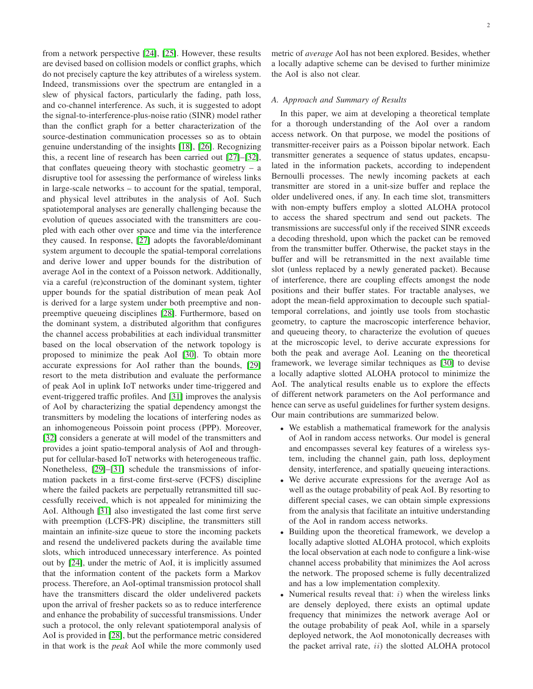from a network perspective [\[24\]](#page-14-16), [\[25\]](#page-14-17). However, these results are devised based on collision models or conflict graphs, which do not precisely capture the key attributes of a wireless system. Indeed, transmissions over the spectrum are entangled in a slew of physical factors, particularly the fading, path loss, and co-channel interference. As such, it is suggested to adopt the signal-to-interference-plus-noise ratio (SINR) model rather than the conflict graph for a better characterization of the source-destination communication processes so as to obtain genuine understanding of the insights [\[18\]](#page-14-11), [\[26\]](#page-14-18). Recognizing this, a recent line of research has been carried out [\[27\]](#page-14-19)–[\[32\]](#page-14-20), that conflates queueing theory with stochastic geometry  $- a$ disruptive tool for assessing the performance of wireless links in large-scale networks – to account for the spatial, temporal, and physical level attributes in the analysis of AoI. Such spatiotemporal analyses are generally challenging because the evolution of queues associated with the transmitters are coupled with each other over space and time via the interference they caused. In response, [\[27\]](#page-14-19) adopts the favorable/dominant system argument to decouple the spatial-temporal correlations and derive lower and upper bounds for the distribution of average AoI in the context of a Poisson network. Additionally, via a careful (re)construction of the dominant system, tighter upper bounds for the spatial distribution of mean peak AoI is derived for a large system under both preemptive and nonpreemptive queueing disciplines [\[28\]](#page-14-21). Furthermore, based on the dominant system, a distributed algorithm that configures the channel access probabilities at each individual transmitter based on the local observation of the network topology is proposed to minimize the peak AoI [\[30\]](#page-14-22). To obtain more accurate expressions for AoI rather than the bounds, [\[29\]](#page-14-23) resort to the meta distribution and evaluate the performance of peak AoI in uplink IoT networks under time-triggered and event-triggered traffic profiles. And [\[31\]](#page-14-24) improves the analysis of AoI by characterizing the spatial dependency amongst the transmitters by modeling the locations of interfering nodes as an inhomogeneous Poissoin point process (PPP). Moreover, [\[32\]](#page-14-20) considers a generate at will model of the transmitters and provides a joint spatio-temporal analysis of AoI and throughput for cellular-based IoT networks with heterogeneous traffic. Nonetheless, [\[29\]](#page-14-23)–[\[31\]](#page-14-24) schedule the transmissions of information packets in a first-come first-serve (FCFS) discipline where the failed packets are perpetually retransmitted till successfully received, which is not appealed for minimizing the AoI. Although [\[31\]](#page-14-24) also investigated the last come first serve with preemption (LCFS-PR) discipline, the transmitters still maintain an infinite-size queue to store the incoming packets and resend the undelivered packets during the available time slots, which introduced unnecessary interference. As pointed out by [\[24\]](#page-14-16), under the metric of AoI, it is implicitly assumed that the information content of the packets form a Markov process. Therefore, an AoI-optimal transmission protocol shall have the transmitters discard the older undelivered packets upon the arrival of fresher packets so as to reduce interference and enhance the probability of successful transmissions. Under such a protocol, the only relevant spatiotemporal analysis of AoI is provided in [\[28\]](#page-14-21), but the performance metric considered in that work is the *peak* AoI while the more commonly used

metric of *average* AoI has not been explored. Besides, whether a locally adaptive scheme can be devised to further minimize the AoI is also not clear.

# *A. Approach and Summary of Results*

In this paper, we aim at developing a theoretical template for a thorough understanding of the AoI over a random access network. On that purpose, we model the positions of transmitter-receiver pairs as a Poisson bipolar network. Each transmitter generates a sequence of status updates, encapsulated in the information packets, according to independent Bernoulli processes. The newly incoming packets at each transmitter are stored in a unit-size buffer and replace the older undelivered ones, if any. In each time slot, transmitters with non-empty buffers employ a slotted ALOHA protocol to access the shared spectrum and send out packets. The transmissions are successful only if the received SINR exceeds a decoding threshold, upon which the packet can be removed from the transmitter buffer. Otherwise, the packet stays in the buffer and will be retransmitted in the next available time slot (unless replaced by a newly generated packet). Because of interference, there are coupling effects amongst the node positions and their buffer states. For tractable analyses, we adopt the mean-field approximation to decouple such spatialtemporal correlations, and jointly use tools from stochastic geometry, to capture the macroscopic interference behavior, and queueing theory, to characterize the evolution of queues at the microscopic level, to derive accurate expressions for both the peak and average AoI. Leaning on the theoretical framework, we leverage similar techniques as [\[30\]](#page-14-22) to devise a locally adaptive slotted ALOHA protocol to minimize the AoI. The analytical results enable us to explore the effects of different network parameters on the AoI performance and hence can serve as useful guidelines for further system designs. Our main contributions are summarized below.

- We establish a mathematical framework for the analysis of AoI in random access networks. Our model is general and encompasses several key features of a wireless system, including the channel gain, path loss, deployment density, interference, and spatially queueing interactions.
- We derive accurate expressions for the average AoI as well as the outage probability of peak AoI. By resorting to different special cases, we can obtain simple expressions from the analysis that facilitate an intuitive understanding of the AoI in random access networks.
- Building upon the theoretical framework, we develop a locally adaptive slotted ALOHA protocol, which exploits the local observation at each node to configure a link-wise channel access probability that minimizes the AoI across the network. The proposed scheme is fully decentralized and has a low implementation complexity.
- Numerical results reveal that:  $i$ ) when the wireless links are densely deployed, there exists an optimal update frequency that minimizes the network average AoI or the outage probability of peak AoI, while in a sparsely deployed network, the AoI monotonically decreases with the packet arrival rate,  $ii)$  the slotted ALOHA protocol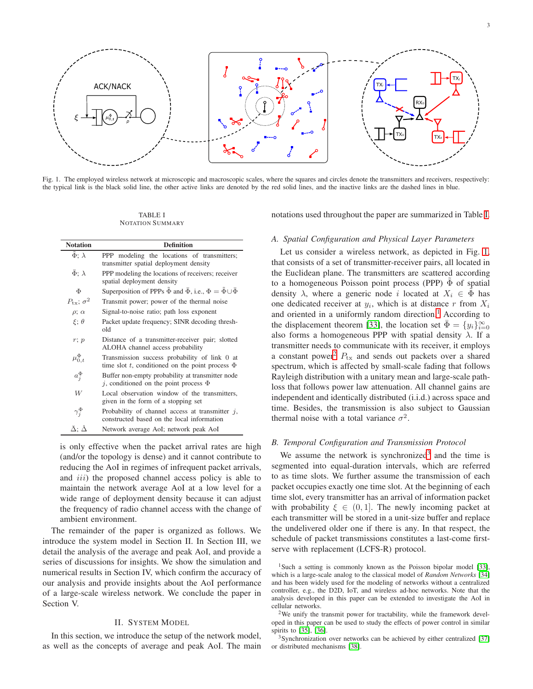

<span id="page-2-1"></span>Fig. 1. The employed wireless network at microscopic and macroscopic scales, where the squares and circles denote the transmitters and receivers, respectively: the typical link is the black solid line, the other active links are denoted by the red solid lines, and the inactive links are the dashed lines in blue.

TABLE I NOTATION SUMMARY

<span id="page-2-0"></span>

| <b>Notation</b>               | <b>Definition</b>                                                                                      |
|-------------------------------|--------------------------------------------------------------------------------------------------------|
| $\tilde{\Phi}$ : $\lambda$    | PPP modeling the locations of transmitters;<br>transmitter spatial deployment density                  |
| $\bar{\Phi}$ ; $\lambda$      | PPP modeling the locations of receivers; receiver<br>spatial deployment density                        |
| Φ                             | Superposition of PPPs $\bar{\Phi}$ and $\bar{\Phi}$ , i.e., $\Phi = \bar{\Phi} \cup \bar{\Phi}$        |
| $P_{\text{tx}}$ ; $\sigma^2$  | Transmit power; power of the thermal noise                                                             |
| $\rho$ ; $\alpha$             | Signal-to-noise ratio; path loss exponent                                                              |
| $\xi$ : $\theta$              | Packet update frequency; SINR decoding thresh-<br>old                                                  |
| r; p                          | Distance of a transmitter-receiver pair; slotted<br>ALOHA channel access probability                   |
| $\mu_{0,t}^{\Phi}$            | Transmission success probability of link 0 at<br>time slot t, conditioned on the point process $\Phi$  |
| $a_j^{\Phi}$                  | Buffer non-empty probability at transmitter node<br><i>j</i> , conditioned on the point process $\Phi$ |
| W                             | Local observation window of the transmitters.<br>given in the form of a stopping set                   |
| $\gamma_j^\Phi$               | Probability of channel access at transmitter $j$ ,<br>constructed based on the local information       |
| $\bar{\Delta};\,\hat{\Delta}$ | Network average AoI; network peak AoI                                                                  |

is only effective when the packet arrival rates are high (and/or the topology is dense) and it cannot contribute to reducing the AoI in regimes of infrequent packet arrivals, and *iii*) the proposed channel access policy is able to maintain the network average AoI at a low level for a wide range of deployment density because it can adjust the frequency of radio channel access with the change of ambient environment.

The remainder of the paper is organized as follows. We introduce the system model in Section II. In Section III, we detail the analysis of the average and peak AoI, and provide a series of discussions for insights. We show the simulation and numerical results in Section IV, which confirm the accuracy of our analysis and provide insights about the AoI performance of a large-scale wireless network. We conclude the paper in Section V.

## II. SYSTEM MODEL

In this section, we introduce the setup of the network model, as well as the concepts of average and peak AoI. The main notations used throughout the paper are summarized in Table [I.](#page-2-0)

## *A. Spatial Configuration and Physical Layer Parameters*

Let us consider a wireless network, as depicted in Fig. [1,](#page-2-1) that consists of a set of transmitter-receiver pairs, all located in the Euclidean plane. The transmitters are scattered according to a homogeneous Poisson point process (PPP)  $\Phi$  of spatial density  $\lambda$ , where a generic node i located at  $X_i \in \Phi$  has one dedicated receiver at  $y_i$ , which is at distance r from  $X_i$ and oriented in a uniformly random direction.<sup>[1](#page-2-2)</sup> According to the displacement theorem [\[33\]](#page-14-25), the location set  $\bar{\Phi} = \{y_i\}_{i=0}^{\infty}$ also forms a homogeneous PPP with spatial density  $\lambda$ . If a transmitter needs to communicate with its receiver, it employs a constant power<sup>[2](#page-2-3)</sup>  $P_{\text{tx}}$  and sends out packets over a shared spectrum, which is affected by small-scale fading that follows Rayleigh distribution with a unitary mean and large-scale pathloss that follows power law attenuation. All channel gains are independent and identically distributed (i.i.d.) across space and time. Besides, the transmission is also subject to Gaussian thermal noise with a total variance  $\sigma^2$ .

#### *B. Temporal Configuration and Transmission Protocol*

We assume the network is synchronized<sup>[3](#page-2-4)</sup> and the time is segmented into equal-duration intervals, which are referred to as time slots. We further assume the transmission of each packet occupies exactly one time slot. At the beginning of each time slot, every transmitter has an arrival of information packet with probability  $\xi \in (0,1]$ . The newly incoming packet at each transmitter will be stored in a unit-size buffer and replace the undelivered older one if there is any. In that respect, the schedule of packet transmissions constitutes a last-come firstserve with replacement (LCFS-R) protocol.

<span id="page-2-2"></span><sup>&</sup>lt;sup>1</sup>Such a setting is commonly known as the Poisson bipolar model [\[33\]](#page-14-25), which is a large-scale analog to the classical model of *Random Networks* [\[34\]](#page-14-26) and has been widely used for the modeling of networks without a centralized controller, e.g., the D2D, IoT, and wireless ad-hoc networks. Note that the analysis developed in this paper can be extended to investigate the AoI in cellular networks.

<span id="page-2-3"></span><sup>2</sup>We unify the transmit power for tractability, while the framework developed in this paper can be used to study the effects of power control in similar spirits to [\[35\]](#page-14-27), [\[36\]](#page-15-0).

<span id="page-2-4"></span><sup>3</sup>Synchronization over networks can be achieved by either centralized [\[37\]](#page-15-1) or distributed mechanisms [\[38\]](#page-15-2).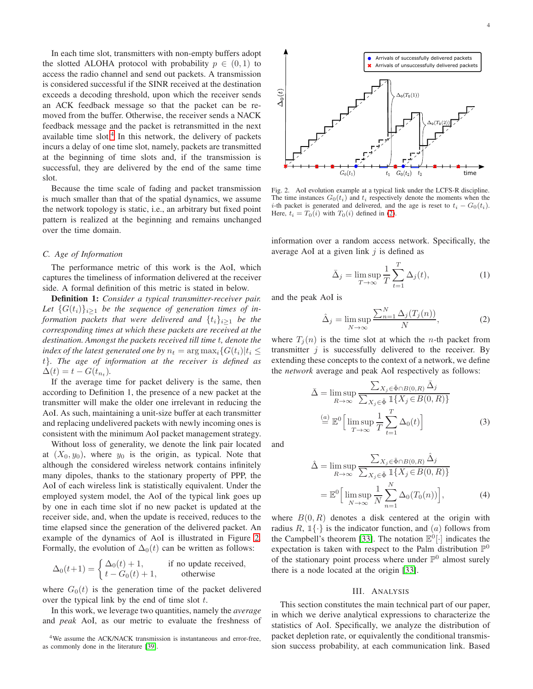In each time slot, transmitters with non-empty buffers adopt the slotted ALOHA protocol with probability  $p \in (0,1)$  to access the radio channel and send out packets. A transmission is considered successful if the SINR received at the destination exceeds a decoding threshold, upon which the receiver sends an ACK feedback message so that the packet can be removed from the buffer. Otherwise, the receiver sends a NACK feedback message and the packet is retransmitted in the next available time  $slot<sup>4</sup>$  $slot<sup>4</sup>$  $slot<sup>4</sup>$  In this network, the delivery of packets incurs a delay of one time slot, namely, packets are transmitted at the beginning of time slots and, if the transmission is successful, they are delivered by the end of the same time slot.

Because the time scale of fading and packet transmission is much smaller than that of the spatial dynamics, we assume the network topology is static, i.e., an arbitrary but fixed point pattern is realized at the beginning and remains unchanged over the time domain.

## *C. Age of Information*

The performance metric of this work is the AoI, which captures the timeliness of information delivered at the receiver side. A formal definition of this metric is stated in below.

Definition 1: *Consider a typical transmitter-receiver pair.* Let  $\{G(t_i)\}_{i>1}$  be the sequence of generation times of in*formation packets that were delivered and*  $\{t_i\}_{i\geq 1}$  *be the corresponding times at which these packets are received at the destination. Amongst the packets received till time* t*, denote the index of the latest generated one by*  $n_t = \arg \max_i \{ G(t_i) | t_i \leq \epsilon \}$ t}*. The age of information at the receiver is defined as*  $\Delta(t) = t - G(t_{n_t}).$ 

If the average time for packet delivery is the same, then according to Definition 1, the presence of a new packet at the transmitter will make the older one irrelevant in reducing the AoI. As such, maintaining a unit-size buffer at each transmitter and replacing undelivered packets with newly incoming ones is consistent with the minimum AoI packet management strategy.

Without loss of generality, we denote the link pair located at  $(X_0, y_0)$ , where  $y_0$  is the origin, as typical. Note that although the considered wireless network contains infinitely many dipoles, thanks to the stationary property of PPP, the AoI of each wireless link is statistically equivalent. Under the employed system model, the AoI of the typical link goes up by one in each time slot if no new packet is updated at the receiver side, and, when the update is received, reduces to the time elapsed since the generation of the delivered packet. An example of the dynamics of AoI is illustrated in Figure [2.](#page-3-1) Formally, the evolution of  $\Delta_0(t)$  can be written as follows:

$$
\Delta_0(t+1) = \begin{cases} \Delta_0(t) + 1, & \text{if no update received,} \\ t - G_0(t) + 1, & \text{otherwise} \end{cases}
$$

where  $G_0(t)$  is the generation time of the packet delivered over the typical link by the end of time slot  $t$ .

In this work, we leverage two quantities, namely the *average* and *peak* AoI, as our metric to evaluate the freshness of



<span id="page-3-1"></span>Fig. 2. AoI evolution example at a typical link under the LCFS-R discipline. The time instances  $G_0(t_i)$  and  $t_i$  respectively denote the moments when the i-th packet is generated and delivered, and the age is reset to  $t_i - G_0(t_i)$ . Here,  $t_i = T_0(i)$  with  $T_0(i)$  defined in [\(2\)](#page-3-2).

information over a random access network. Specifically, the average AoI at a given link  $j$  is defined as

<span id="page-3-2"></span>
$$
\bar{\Delta}_j = \limsup_{T \to \infty} \frac{1}{T} \sum_{t=1}^T \Delta_j(t), \tag{1}
$$

and the peak AoI is

$$
\hat{\Delta}_j = \limsup_{N \to \infty} \frac{\sum_{n=1}^N \Delta_j(T_j(n))}{N},\tag{2}
$$

where  $T_i(n)$  is the time slot at which the *n*-th packet from transmitter  $j$  is successfully delivered to the receiver. By extending these concepts to the context of a network, we define the *network* average and peak AoI respectively as follows:

$$
\bar{\Delta} = \limsup_{R \to \infty} \frac{\sum_{X_j \in \tilde{\Phi} \cap B(0,R)} \bar{\Delta}_j}{\sum_{X_j \in \tilde{\Phi}} \mathbb{1}\{X_j \in B(0,R)\}}
$$

$$
\stackrel{(a)}{=} \mathbb{E}^0 \Big[ \limsup_{T \to \infty} \frac{1}{T} \sum_{t=1}^T \Delta_0(t) \Big] \tag{3}
$$

and

$$
\hat{\Delta} = \limsup_{R \to \infty} \frac{\sum_{X_j \in \tilde{\Phi} \cap B(0,R)} \hat{\Delta}_j}{\sum_{X_j \in \tilde{\Phi}} \mathbb{1}\{X_j \in B(0,R)\}}
$$

$$
= \mathbb{E}^0 \Big[ \limsup_{N \to \infty} \frac{1}{N} \sum_{n=1}^N \Delta_0(T_0(n)) \Big], \tag{4}
$$

where  $B(0, R)$  denotes a disk centered at the origin with radius R,  $\mathbb{1}\{\cdot\}$  is the indicator function, and  $(a)$  follows from the Campbell's theorem [\[33\]](#page-14-25). The notation  $\mathbb{E}^0[\cdot]$  indicates the expectation is taken with respect to the Palm distribution  $\mathbb{P}^0$ of the stationary point process where under  $\mathbb{P}^0$  almost surely there is a node located at the origin [\[33\]](#page-14-25).

#### III. ANALYSIS

This section constitutes the main technical part of our paper, in which we derive analytical expressions to characterize the statistics of AoI. Specifically, we analyze the distribution of packet depletion rate, or equivalently the conditional transmission success probability, at each communication link. Based

<span id="page-3-0"></span><sup>&</sup>lt;sup>4</sup>We assume the ACK/NACK transmission is instantaneous and error-free, as commonly done in the literature [\[39\]](#page-15-3).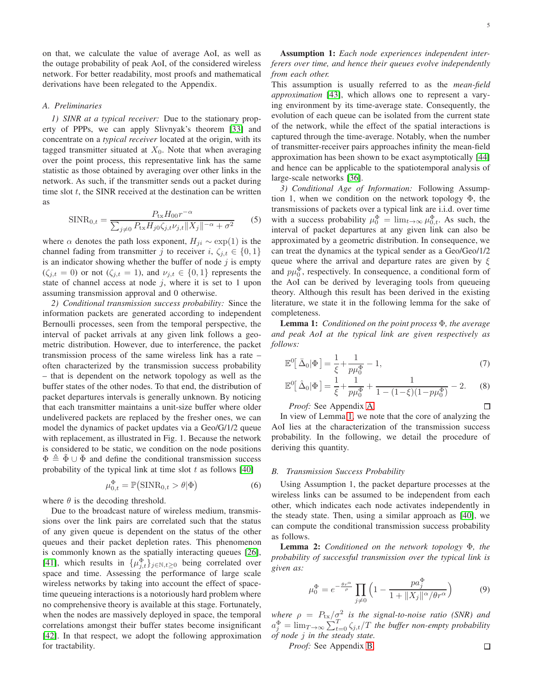on that, we calculate the value of average AoI, as well as the outage probability of peak AoI, of the considered wireless network. For better readability, most proofs and mathematical derivations have been relegated to the Appendix.

# *A. Preliminaries*

*1) SINR at a typical receiver:* Due to the stationary property of PPPs, we can apply Slivnyak's theorem [\[33\]](#page-14-25) and concentrate on a *typical receiver* located at the origin, with its tagged transmitter situated at  $X_0$ . Note that when averaging over the point process, this representative link has the same statistic as those obtained by averaging over other links in the network. As such, if the transmitter sends out a packet during time slot  $t$ , the SINR received at the destination can be written as

$$
\text{SINR}_{0,t} = \frac{P_{\text{tx}} H_{00} r^{-\alpha}}{\sum_{j \neq 0} P_{\text{tx}} H_{j0} \zeta_{j,t} \nu_{j,t} ||X_j||^{-\alpha} + \sigma^2}
$$
(5)

where  $\alpha$  denotes the path loss exponent,  $H_{ji} \sim \exp(1)$  is the channel fading from transmitter j to receiver  $i, \zeta_{j,t} \in \{0,1\}$ is an indicator showing whether the buffer of node  $j$  is empty  $(\zeta_{j,t} = 0)$  or not  $(\zeta_{j,t} = 1)$ , and  $\nu_{j,t} \in \{0,1\}$  represents the state of channel access at node  $j$ , where it is set to 1 upon assuming transmission approval and 0 otherwise.

*2) Conditional transmission success probability:* Since the information packets are generated according to independent Bernoulli processes, seen from the temporal perspective, the interval of packet arrivals at any given link follows a geometric distribution. However, due to interference, the packet transmission process of the same wireless link has a rate – often characterized by the transmission success probability – that is dependent on the network topology as well as the buffer states of the other nodes. To that end, the distribution of packet departures intervals is generally unknown. By noticing that each transmitter maintains a unit-size buffer where older undelivered packets are replaced by the fresher ones, we can model the dynamics of packet updates via a Geo/G/1/2 queue with replacement, as illustrated in Fig. 1. Because the network is considered to be static, we condition on the node positions  $\Phi \triangleq \Phi \cup \bar{\Phi}$  and define the conditional transmission success probability of the typical link at time slot  $t$  as follows [\[40\]](#page-15-4)

$$
\mu_{0,t}^{\Phi} = \mathbb{P}\big(\text{SINR}_{0,t} > \theta | \Phi\big) \tag{6}
$$

where  $\theta$  is the decoding threshold.

Due to the broadcast nature of wireless medium, transmissions over the link pairs are correlated such that the status of any given queue is dependent on the status of the other queues and their packet depletion rates. This phenomenon is commonly known as the spatially interacting queues [\[26\]](#page-14-18), [\[41\]](#page-15-5), which results in  $\{\mu_{j,t}^{\Phi}\}_{j \in \mathbb{N}, t \geq 0}$  being correlated over space and time. Assessing the performance of large scale wireless networks by taking into account the effect of spacetime queueing interactions is a notoriously hard problem where no comprehensive theory is available at this stage. Fortunately, when the nodes are massively deployed in space, the temporal correlations amongst their buffer states become insignificant [\[42\]](#page-15-6). In that respect, we adopt the following approximation for tractability.

Assumption 1: *Each node experiences independent interferers over time, and hence their queues evolve independently from each other.*

This assumption is usually referred to as the *mean-field approximation* [\[43\]](#page-15-7), which allows one to represent a varying environment by its time-average state. Consequently, the evolution of each queue can be isolated from the current state of the network, while the effect of the spatial interactions is captured through the time-average. Notably, when the number of transmitter-receiver pairs approaches infinity the mean-field approximation has been shown to be exact asymptotically [\[44\]](#page-15-8) and hence can be applicable to the spatiotemporal analysis of large-scale networks [\[36\]](#page-15-0).

*3) Conditional Age of Information:* Following Assumption 1, when we condition on the network topology  $\Phi$ , the transmissions of packets over a typical link are i.i.d. over time with a success probability  $\mu_0^{\Phi} = \lim_{t \to \infty} \mu_{0,t}^{\Phi}$ . As such, the interval of packet departures at any given link can also be approximated by a geometric distribution. In consequence, we can treat the dynamics at the typical sender as a Geo/Geo/1/2 queue where the arrival and departure rates are given by  $\xi$ and  $p\mu_0^{\Phi}$ , respectively. In consequence, a conditional form of the AoI can be derived by leveraging tools from queueing theory. Although this result has been derived in the existing literature, we state it in the following lemma for the sake of completeness.

<span id="page-4-0"></span>Lemma 1: *Conditioned on the point process* Φ*, the average and peak AoI at the typical link are given respectively as follows:*

<span id="page-4-1"></span>
$$
\mathbb{E}^0\big[\,\bar{\Delta}_0|\Phi\,\big] = \frac{1}{\xi} + \frac{1}{p\mu_0^{\Phi}} - 1,\tag{7}
$$

$$
\mathbb{E}^0[\hat{\Delta}_0|\Phi] = \frac{1}{\xi} + \frac{1}{p\mu_0^{\Phi}} + \frac{1}{1 - (1 - \xi)(1 - p\mu_0^{\Phi})} - 2. \tag{8}
$$

<span id="page-4-4"></span>*Proof:* See Appendix [A.](#page-11-0)  $\Box$ 

In view of Lemma [1,](#page-4-0) we note that the core of analyzing the AoI lies at the characterization of the transmission success probability. In the following, we detail the procedure of deriving this quantity.

#### *B. Transmission Success Probability*

<span id="page-4-3"></span>Using Assumption 1, the packet departure processes at the wireless links can be assumed to be independent from each other, which indicates each node activates independently in the steady state. Then, using a similar approach as [\[40\]](#page-15-4), we can compute the conditional transmission success probability as follows.

<span id="page-4-5"></span>Lemma 2: *Conditioned on the network topology* Φ*, the probability of successful transmission over the typical link is given as:*

$$
\mu_0^{\Phi} = e^{-\frac{\theta r^{\alpha}}{\rho}} \prod_{j \neq 0} \left( 1 - \frac{p a_j^{\Phi}}{1 + \|X_j\|^{\alpha} / \theta r^{\alpha}} \right) \tag{9}
$$

*where*  $\rho = P_{\text{tx}}/\sigma^2$  *is the signal-to-noise ratio* (SNR) and  $a_j^{\Phi} = \lim_{T \to \infty} \sum_{t=0}^{T} \zeta_{j,t}/T$  the buffer non-empty probability *of node* j *in the steady state.*

*Proof:* See Appendix [B.](#page-12-0)

<span id="page-4-2"></span> $\Box$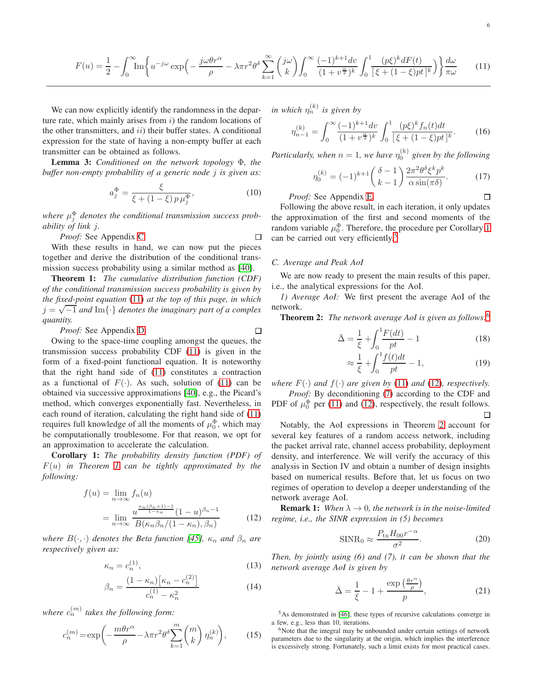$$
F(u) = \frac{1}{2} - \int_0^\infty \operatorname{Im} \left\{ u^{-j\omega} \exp\left(-\frac{j\omega\theta r^{\alpha}}{\rho} - \lambda\pi r^2 \theta^{\delta} \sum_{k=1}^\infty \binom{j\omega}{k} \int_0^\infty \frac{(-1)^{k+1}dv}{(1+v^{\frac{\alpha}{2}})^k} \int_0^1 \frac{(p\xi)^k dF(t)}{[\xi + (1-\xi)pt]^k} \right) \frac{d\omega}{\pi\omega} \tag{11}
$$

We can now explicitly identify the randomness in the departure rate, which mainly arises from  $i$ ) the random locations of the other transmitters, and  $ii)$  their buffer states. A conditional expression for the state of having a non-empty buffer at each transmitter can be obtained as follows.

<span id="page-5-8"></span>Lemma 3: *Conditioned on the network topology* Φ*, the buffer non-empty probability of a generic node* j *is given as:*

$$
a_j^{\Phi} = \frac{\xi}{\xi + (1 - \xi) p \mu_j^{\Phi}},
$$
\n(10)

where  $\mu_j^{\Phi}$  denotes the conditional transmission success prob*ability of link* j*.*

*Proof:* See Appendix [C.](#page-13-0)  $\Box$ 

With these results in hand, we can now put the pieces together and derive the distribution of the conditional transmission success probability using a similar method as [\[40\]](#page-15-4).

<span id="page-5-1"></span>Theorem 1: *The cumulative distribution function (CDF) of the conditional transmission success probability is given by the fixed-point equation* [\(11\)](#page-5-0) *at the top of this page, in which*  $j = \sqrt{-1}$  and  $\text{Im}\{\cdot\}$  denotes the imaginary part of a complex *quantity.*

*Proof:* See Appendix [D.](#page-13-1)

Owing to the space-time coupling amongst the queues, the transmission success probability CDF [\(11\)](#page-5-0) is given in the form of a fixed-point functional equation. It is noteworthy that the right hand side of [\(11\)](#page-5-0) constitutes a contraction as a functional of  $F(\cdot)$ . As such, solution of [\(11\)](#page-5-0) can be obtained via successive approximations [\[40\]](#page-15-4), e.g., the Picard's method, which converges exponentially fast. Nevertheless, in each round of iteration, calculating the right hand side of [\(11\)](#page-5-0) requires full knowledge of all the moments of  $\mu_0^{\Phi}$ , which may be computationally troublesome. For that reason, we opt for an approximation to accelerate the calculation.

<span id="page-5-2"></span>Corollary 1: *The probability density function (PDF) of* F(u) *in Theorem [1](#page-5-1) can be tightly approximated by the following:*

$$
f(u) = \lim_{n \to \infty} f_n(u)
$$
  
= 
$$
\lim_{n \to \infty} \frac{u^{\frac{\kappa_n(\beta_n + 1) - 1}{1 - \kappa_n}} (1 - u)^{\beta_n - 1}}{B(\kappa_n \beta_n / (1 - \kappa_n), \beta_n)}
$$
 (12)

*where*  $B(\cdot, \cdot)$  *denotes the Beta function [\[45\]](#page-15-9),*  $\kappa_n$  *and*  $\beta_n$  *are respectively given as:*

$$
\kappa_n = c_n^{(1)},\tag{13}
$$

$$
\beta_n = \frac{(1 - \kappa_n) \left[ \kappa_n - c_n^{(2)} \right]}{c_n^{(1)} - \kappa_n^2} \tag{14}
$$

where  $c_n^{(m)}$  takes the following form:

$$
c_n^{(m)} = \exp\left(-\frac{m\theta r^{\alpha}}{\rho} - \lambda \pi r^2 \theta^{\delta} \sum_{k=1}^m \binom{m}{k} \eta_n^{(k)}\right),\tag{15}
$$

in which  $\eta_n^{(k)}$  is given by

η

$$
\eta_{n-1}^{(k)} = \int_0^\infty \frac{(-1)^{k+1} dv}{(1+v^{\frac{\alpha}{2}})^k} \int_0^1 \frac{(p\xi)^k f_n(t) dt}{[\xi + (1-\xi)pt]^k}.
$$
 (16)

*Particularly, when*  $n = 1$ *, we have*  $\eta_0^{(k)}$  given by the following

$$
b_0^{(k)} = (-1)^{k+1} \binom{\delta - 1}{k-1} \frac{2\pi^2 \theta^{\delta} \xi^k p^k}{\alpha \sin(\pi \delta)}.
$$
 (17)

*Proof:* See Appendix [E.](#page-13-2)

<span id="page-5-7"></span>Following the above result, in each iteration, it only updates the approximation of the first and second moments of the random variable  $\mu_0^{\Phi}$ . Therefore, the procedure per Corollary [1](#page-5-2) can be carried out very efficiently.<sup>[5](#page-5-3)</sup>

# *C. Average and Peak AoI*

 $\Box$ 

We are now ready to present the main results of this paper, i.e., the analytical expressions for the AoI.

*1) Average AoI:* We first present the average AoI of the network.

<span id="page-5-6"></span>Theorem 2: *The network average AoI is given as follows:*[6](#page-5-4)

$$
\bar{\Delta} = \frac{1}{\xi} + \int_0^1 \frac{F(dt)}{pt} - 1
$$
 (18)

$$
\approx \frac{1}{\xi} + \int_0^1 \frac{f(t)dt}{pt} - 1,\tag{19}
$$

*where*  $F(\cdot)$  *and*  $f(\cdot)$  *are given by* [\(11\)](#page-5-0) *and* [\(12\)](#page-5-5)*, respectively.* 

*Proof:* By deconditioning [\(7\)](#page-4-1) according to the CDF and PDF of  $\mu_0^{\Phi}$  per [\(11\)](#page-5-0) and [\(12\)](#page-5-5), respectively, the result follows.  $\Box$ 

Notably, the AoI expressions in Theorem [2](#page-5-6) account for several key features of a random access network, including the packet arrival rate, channel access probability, deployment density, and interference. We will verify the accuracy of this analysis in Section IV and obtain a number of design insights based on numerical results. Before that, let us focus on two regimes of operation to develop a deeper understanding of the network average AoI.

<span id="page-5-5"></span>**Remark 1:** *When*  $\lambda \rightarrow 0$ *, the network is in the noise-limited regime, i.e., the SINR expression in (5) becomes*

$$
\text{SINR}_0 \approx \frac{P_{\text{tx}} H_{00} r^{-\alpha}}{\sigma^2}.
$$
 (20)

*Then, by jointly using (6) and (7), it can be shown that the network average AoI is given by*

$$
\bar{\Delta} = \frac{1}{\xi} - 1 + \frac{\exp\left(\frac{\theta r^{\alpha}}{\rho}\right)}{p},\tag{21}
$$

<span id="page-5-3"></span><sup>5</sup>As demonstrated in [\[46\]](#page-15-10), these types of recursive calculations converge in a few, e.g., less than 10, iterations.

<span id="page-5-9"></span><span id="page-5-4"></span><sup>6</sup>Note that the integral may be unbounded under certain settings of network parameters due to the singularity at the origin, which implies the interference is excessively strong. Fortunately, such a limit exists for most practical cases.

<span id="page-5-0"></span> $\Box$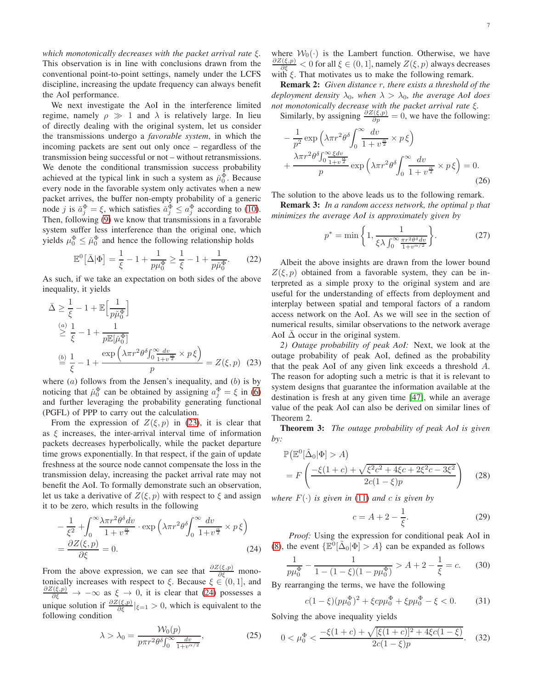*which monotonically decreases with the packet arrival rate* ξ*.* This observation is in line with conclusions drawn from the conventional point-to-point settings, namely under the LCFS discipline, increasing the update frequency can always benefit the AoI performance.

We next investigate the AoI in the interference limited regime, namely  $\rho \gg 1$  and  $\lambda$  is relatively large. In lieu of directly dealing with the original system, let us consider the transmissions undergo a *favorable system*, in which the incoming packets are sent out only once – regardless of the transmission being successful or not – without retransmissions. We denote the conditional transmission success probability achieved at the typical link in such a system as  $\check{\mu}_0^{\Phi}$ . Because every node in the favorable system only activates when a new packet arrives, the buffer non-empty probability of a generic node *j* is  $\check{a}_j^{\Phi} = \xi$ , which satisfies  $\check{a}_j^{\Phi} \le a_j^{\Phi}$  according to [\(10\)](#page-5-7). Then, following [\(9\)](#page-4-2) we know that transmissions in a favorable system suffer less interference than the original one, which yields  $\mu_0^{\Phi} \leq \check{\mu}_0^{\Phi}$  and hence the following relationship holds

$$
\mathbb{E}^{0} \left[ \bar{\Delta} | \Phi \right] = \frac{1}{\xi} - 1 + \frac{1}{p\mu_0^{\Phi}} \ge \frac{1}{\xi} - 1 + \frac{1}{p\check{\mu}_0^{\Phi}}.
$$
 (22)

As such, if we take an expectation on both sides of the above inequality, it yields

$$
\bar{\Delta} \ge \frac{1}{\xi} - 1 + \mathbb{E} \Big[ \frac{1}{p\breve{\mu}_0^{\Phi}} \Big] \n\ge \frac{a}{\xi} - 1 + \frac{1}{p\mathbb{E}[\breve{\mu}_0^{\Phi}]} \n\stackrel{(b)}{=} \frac{1}{\xi} - 1 + \frac{\exp \Big( \lambda \pi r^2 \theta^{\delta} \int_0^{\infty} \frac{dv}{1 + v^{\frac{\alpha}{2}}} \times p \xi \Big)}{p} = Z(\xi, p) \quad (23)
$$

where  $(a)$  follows from the Jensen's inequality, and  $(b)$  is by noticing that  $\tilde{\mu}_0^{\Phi}$  can be obtained by assigning  $a_j^{\Phi} = \xi$  in [\(6\)](#page-4-3) and further leveraging the probability generating functional (PGFL) of PPP to carry out the calculation.

From the expression of  $Z(\xi, p)$  in [\(23\)](#page-6-0), it is clear that as  $\xi$  increases, the inter-arrival interval time of information packets decreases hyperbolically, while the packet departure time grows exponentially. In that respect, if the gain of update freshness at the source node cannot compensate the loss in the transmission delay, increasing the packet arrival rate may not benefit the AoI. To formally demonstrate such an observation, let us take a derivative of  $Z(\xi, p)$  with respect to  $\xi$  and assign it to be zero, which results in the following

$$
-\frac{1}{\xi^2} + \int_0^\infty \frac{\lambda \pi r^2 \theta^\delta dv}{1 + v^{\frac{\alpha}{2}}} \cdot \exp\left(\lambda \pi r^2 \theta^\delta \int_0^\infty \frac{dv}{1 + v^{\frac{\alpha}{2}}} \times p\xi\right)
$$

$$
=\frac{\partial Z(\xi, p)}{\partial \xi} = 0.
$$
(24)

From the above expression, we can see that  $\frac{\partial Z(\xi, p)}{\partial \xi}$  monotonically increases with respect to  $\xi$ . Because  $\xi \in (0,1]$ , and  $\frac{\partial Z(\xi,p)}{\partial \xi} \to -\infty$  as  $\xi \to 0$ , it is clear that [\(24\)](#page-6-1) possesses a unique solution if  $\frac{\partial Z(\xi, p)}{\partial \xi} |_{\xi=1} > 0$ , which is equivalent to the following condition

$$
\lambda > \lambda_0 = \frac{\mathcal{W}_0(p)}{p\pi r^2 \theta^{\delta} \int_0^{\infty} \frac{dv}{1 + v^{\alpha/2}}},\tag{25}
$$

where  $W_0(\cdot)$  is the Lambert function. Otherwise, we have  $\frac{\partial Z(\xi,p)}{\partial \xi} < 0$  for all  $\xi \in (0,1]$ , namely  $Z(\xi,p)$  always decreases with  $\xi$ . That motivates us to make the following remark.

Remark 2: *Given distance* r*, there exists a threshold of the deployment density*  $\lambda_0$ *, when*  $\lambda > \lambda_0$ *, the average AoI does not monotonically decrease with the packet arrival rate* ξ*.* Similarly, by assigning  $\frac{\partial Z(\xi,p)}{\partial p} = 0$ , we have the following:

$$
-\frac{1}{p^2} \exp\left(\lambda \pi r^2 \theta^{\delta} \int_0^{\infty} \frac{dv}{1+v^{\frac{\alpha}{2}}} \times p\xi\right) + \frac{\lambda \pi r^2 \theta^{\delta} \int_0^{\infty} \frac{\xi dv}{1+v^{\frac{\alpha}{2}}}} \exp\left(\lambda \pi r^2 \theta^{\delta} \int_0^{\infty} \frac{dv}{1+v^{\frac{\alpha}{2}}} \times p\xi\right) = 0.
$$
\n(26)

The solution to the above leads us to the following remark.

Remark 3: *In a random access network, the optimal* p *that minimizes the average AoI is approximately given by*

$$
p^* = \min\left\{1, \frac{1}{\xi \lambda \int_0^\infty \frac{\pi r^2 \theta^\delta dv}{1 + v^{\alpha/2}}}\right\}.
$$
 (27)

Albeit the above insights are drawn from the lower bound  $Z(\xi, p)$  obtained from a favorable system, they can be interpreted as a simple proxy to the original system and are useful for the understanding of effects from deployment and interplay between spatial and temporal factors of a random access network on the AoI. As we will see in the section of numerical results, similar observations to the network average AoI  $\overline{\Delta}$  occur in the original system.

<span id="page-6-0"></span>*2) Outage probability of peak AoI:* Next, we look at the outage probability of peak AoI, defined as the probability that the peak AoI of any given link exceeds a threshold A. The reason for adopting such a metric is that it is relevant to system designs that guarantee the information available at the destination is fresh at any given time [\[47\]](#page-15-11), while an average value of the peak AoI can also be derived on similar lines of Theorem 2.

Theorem 3: *The outage probability of peak AoI is given by:*

$$
\mathbb{P}(\mathbb{E}^0[\hat{\Delta}_0|\Phi] > A) \n= F\left(\frac{-\xi(1+c) + \sqrt{\xi^2c^2 + 4\xi c + 2\xi^2c - 3\xi^2}}{2c(1-\xi)p}\right)
$$
\n(28)

*where*  $F(\cdot)$  *is given in* [\(11\)](#page-5-0) *and c is given by* 

$$
c = A + 2 - \frac{1}{\xi}.
$$
 (29)

<span id="page-6-1"></span>*Proof:* Using the expression for conditional peak AoI in [\(8\)](#page-4-4), the event  $\{\mathbb{E}^0[\tilde{\Delta}_0|\Phi] > A\}$  can be expanded as follows

$$
\frac{1}{p\mu_0^{\Phi}} - \frac{1}{1 - (1 - \xi)(1 - p\mu_0^{\Phi})} > A + 2 - \frac{1}{\xi} = c.
$$
 (30)

By rearranging the terms, we have the following

$$
c(1-\xi)(p\mu_0^{\Phi})^2 + \xi cp\mu_0^{\Phi} + \xi p\mu_0^{\Phi} - \xi < 0. \tag{31}
$$

Solving the above inequality yields

$$
0 < \mu_0^{\Phi} < \frac{-\xi(1+c) + \sqrt{[\xi(1+c)]^2 + 4\xi c(1-\xi)}}{2c(1-\xi)p}.\tag{32}
$$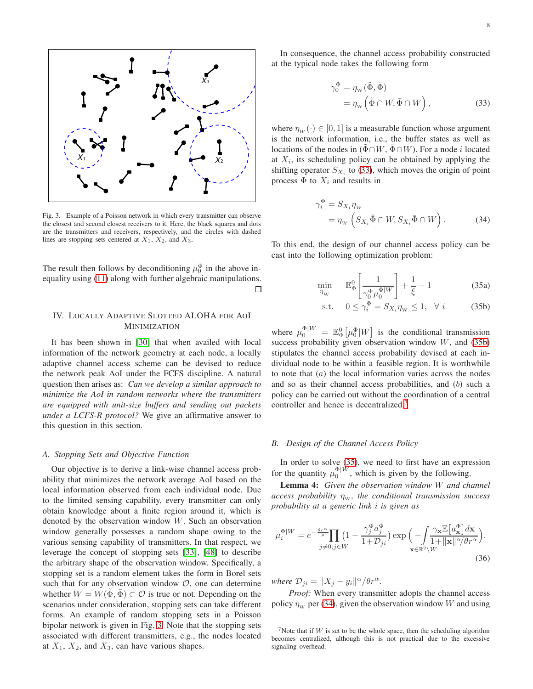

<span id="page-7-0"></span>Fig. 3. Example of a Poisson network in which every transmitter can observe the closest and second closest receivers to it. Here, the black squares and dots are the transmitters and receivers, respectively, and the circles with dashed lines are stopping sets centered at  $X_1$ ,  $X_2$ , and  $X_3$ .

The result then follows by deconditioning  $\mu_0^{\Phi}$  in the above inequality using [\(11\)](#page-5-0) along with further algebraic manipulations.  $\Box$ 

# IV. LOCALLY ADAPTIVE SLOTTED ALOHA FOR AOI MINIMIZATION

It has been shown in [\[30\]](#page-14-22) that when availed with local information of the network geometry at each node, a locally adaptive channel access scheme can be devised to reduce the network peak AoI under the FCFS discipline. A natural question then arises as: *Can we develop a similar approach to minimize the AoI in random networks where the transmitters are equipped with unit-size buffers and sending out packets under a LCFS-R protocol?* We give an affirmative answer to this question in this section.

## *A. Stopping Sets and Objective Function*

Our objective is to derive a link-wise channel access probability that minimizes the network average AoI based on the local information observed from each individual node. Due to the limited sensing capability, every transmitter can only obtain knowledge about a finite region around it, which is denoted by the observation window W. Such an observation window generally possesses a random shape owing to the various sensing capability of transmitters. In that respect, we leverage the concept of stopping sets [\[33\]](#page-14-25), [\[48\]](#page-15-12) to describe the arbitrary shape of the observation window. Specifically, a stopping set is a random element takes the form in Borel sets such that for any observation window  $\mathcal{O}$ , one can determine whether  $W = W(\Phi, \overline{\Phi}) \subset \mathcal{O}$  is true or not. Depending on the scenarios under consideration, stopping sets can take different forms. An example of random stopping sets in a Poisson bipolar network is given in Fig. [3.](#page-7-0) Note that the stopping sets associated with different transmitters, e.g., the nodes located at  $X_1$ ,  $X_2$ , and  $X_3$ , can have various shapes.

In consequence, the channel access probability constructed at the typical node takes the following form

<span id="page-7-1"></span>
$$
\gamma_0^{\Phi} = \eta_{\mathbf{w}}(\tilde{\Phi}, \bar{\Phi})
$$
  
=  $\eta_{\mathbf{w}}(\tilde{\Phi} \cap W, \bar{\Phi} \cap W),$  (33)

where  $\eta_w(\cdot) \in [0, 1]$  is a measurable function whose argument is the network information, i.e., the buffer states as well as locations of the nodes in  $(\Phi \cap W, \overline{\Phi} \cap W)$ . For a node i located at  $X_i$ , its scheduling policy can be obtained by applying the shifting operator  $S_{X_i}$  to [\(33\)](#page-7-1), which moves the origin of point process  $\Phi$  to  $X_i$  and results in

<span id="page-7-5"></span>
$$
\gamma_i^{\Phi} = S_{X_i} \eta_w
$$
  
=  $\eta_w \left( S_{X_i} \tilde{\Phi} \cap W, S_{X_i} \bar{\Phi} \cap W \right).$  (34)

To this end, the design of our channel access policy can be cast into the following optimization problem:

<span id="page-7-7"></span><span id="page-7-4"></span><span id="page-7-2"></span>
$$
\lim_{N} \qquad \mathbb{E}_{\Phi}^{0} \left[ \frac{1}{\gamma_0^{\Phi} \mu_0^{\Phi|W}} \right] + \frac{1}{\xi} - 1 \tag{35a}
$$

$$
\text{s.t.} \quad 0 \le \gamma_i^{\Phi} = S_{X_i} \eta_{\mathbf{w}} \le 1, \ \forall \ i \tag{35b}
$$

where  $\mu_0^{\Phi|W} = \mathbb{E}_{\Phi}^0[\mu_0^{\Phi}|W]$  is the conditional transmission success probability given observation window  $W$ , and [\(35b\)](#page-7-2) stipulates the channel access probability devised at each individual node to be within a feasible region. It is worthwhile to note that  $(a)$  the local information varies across the nodes and so as their channel access probabilities, and (b) such a policy can be carried out without the coordination of a central controller and hence is decentralized.<sup>[7](#page-7-3)</sup>

# *B. Design of the Channel Access Policy*

min  $\eta_{\rm V}$ 

In order to solve [\(35\)](#page-7-4), we need to first have an expression for the quantity  $\mu_0^{\Phi|W}$ , which is given by the following.

Lemma 4: *Given the observation window* W *and channel*  $access$  probability  $\eta_w$ , the conditional transmission success *probability at a generic link* i *is given as*

<span id="page-7-6"></span>
$$
\mu_i^{\Phi|W} = e^{-\frac{\theta r^{\alpha}}{\rho}} \prod_{j \neq 0, j \in W} \left(1 - \frac{\gamma_j^{\Phi} a_j^{\Phi}}{1 + \mathcal{D}_{ji}}\right) \exp\left(-\int \frac{\gamma_{\mathbf{x}} \mathbb{E}\left[a_{\mathbf{x}}^{\Phi}\right] d\mathbf{x}}{1 + ||\mathbf{x}||^{\alpha} / \theta r^{\alpha}}\right).
$$
\n(36)

*where*  $\mathcal{D}_{ji} = ||X_j - y_i||^{\alpha}/\theta r^{\alpha}$ .

*Proof:* When every transmitter adopts the channel access policy  $\eta_w$  per [\(34\)](#page-7-5), given the observation window W and using

<span id="page-7-3"></span><sup>&</sup>lt;sup>7</sup>Note that if  $W$  is set to be the whole space, then the scheduling algorithm becomes centralized, although this is not practical due to the excessive signaling overhead.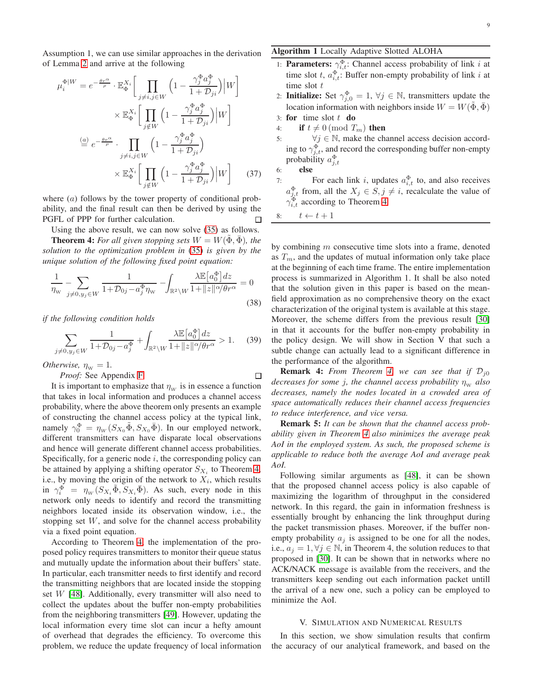Assumption 1, we can use similar approaches in the derivation of Lemma [2](#page-4-5) and arrive at the following

$$
\mu_i^{\Phi|W} = e^{-\frac{\theta r^{\alpha}}{\rho}} \cdot \mathbb{E}_{\Phi}^{X_i} \Bigg[ \prod_{j \neq i, j \in W} \left( 1 - \frac{\gamma_j^{\Phi} a_j^{\Phi}}{1 + \mathcal{D}_{ji}} \right) \Big| W \Bigg] \times \mathbb{E}_{\Phi}^{X_i} \Bigg[ \prod_{j \notin W} \left( 1 - \frac{\gamma_j^{\Phi} a_j^{\Phi}}{1 + \mathcal{D}_{ji}} \right) \Big| W \Bigg] \times \mathbb{E}_{\Phi}^{X_i} \Bigg[ \prod_{j \neq i, j \in W} \left( 1 - \frac{\gamma_j^{\Phi} a_j^{\Phi}}{1 + \mathcal{D}_{ji}} \right) \times \mathbb{E}_{\Phi}^{X_i} \Bigg[ \prod_{j \notin W} \left( 1 - \frac{\gamma_j^{\Phi} a_j^{\Phi}}{1 + \mathcal{D}_{ji}} \right) \Big| W \Bigg] \tag{37}
$$

where  $(a)$  follows by the tower property of conditional probability, and the final result can then be derived by using the PGFL of PPP for further calculation. П

Using the above result, we can now solve [\(35\)](#page-7-4) as follows.

**Theorem 4:** For all given stopping sets  $W = W(\Phi, \bar{\Phi})$ , the *solution to the optimization problem in* [\(35\)](#page-7-4) *is given by the unique solution of the following fixed point equation:*

$$
\frac{1}{\eta_{\mathbf{w}}} - \sum_{j \neq 0, y_j \in W} \frac{1}{1 + \mathcal{D}_{0j} - a_j^{\Phi} \eta_{\mathbf{w}}} - \int_{\mathbb{R}^2 \setminus W} \frac{\lambda \mathbb{E} \left[ a_0^{\Phi} \right] dz}{1 + \|z\|^\alpha / \theta r^\alpha} = 0
$$
\n(38)

*if the following condition holds*

$$
\sum_{j\neq 0, y_j\in W} \frac{1}{1+\mathcal{D}_{0j}-a_j^{\Phi}} + \int_{\mathbb{R}^2\backslash W} \frac{\lambda \mathbb{E}\big[a_0^{\Phi}\big]dz}{1+\|z\|^{\alpha/\theta}r^{\alpha}} > 1. \tag{39}
$$

*Otherwise,*  $\eta_w = 1$ *.* 

*Proof:* See Appendix [F.](#page-13-3)

It is important to emphasize that  $\eta_w$  is in essence a function that takes in local information and produces a channel access probability, where the above theorem only presents an example of constructing the channel access policy at the typical link, namely  $\gamma_0^{\Phi} = \eta_{W}(S_{X_0}\tilde{\Phi},S_{X_0}\bar{\Phi})$ . In our employed network, different transmitters can have disparate local observations and hence will generate different channel access probabilities. Specifically, for a generic node  $i$ , the corresponding policy can be attained by applying a shifting operator  $S_{X_i}$  to Theorem [4,](#page-8-0) i.e., by moving the origin of the network to  $X_i$ , which results in  $\gamma_i^{\overline{\Phi}} = \eta_w (S_{X_i} \overline{\Phi}, S_{X_i} \overline{\Phi})$ . As such, every node in this network only needs to identify and record the transmitting neighbors located inside its observation window, i.e., the stopping set  $W$ , and solve for the channel access probability via a fixed point equation.

According to Theorem [4,](#page-8-0) the implementation of the proposed policy requires transmitters to monitor their queue status and mutually update the information about their buffers' state. In particular, each transmitter needs to first identify and record the transmitting neighbors that are located inside the stopping set W [\[48\]](#page-15-12). Additionally, every transmitter will also need to collect the updates about the buffer non-empty probabilities from the neighboring transmitters [\[49\]](#page-15-13). However, updating the local information every time slot can incur a hefty amount of overhead that degrades the efficiency. To overcome this problem, we reduce the update frequency of local information

# Algorithm 1 Locally Adaptive Slotted ALOHA

- 1: **Parameters:**  $\gamma_{i,t}^{\Phi}$ : Channel access probability of link *i* at time slot t,  $a_{i,t}^{\Phi}$ : Buffer non-empty probability of link i at time slot t
- 2: **Initialize:** Set  $\gamma_{j,0}^{\Phi} = 1$ ,  $\forall j \in \mathbb{N}$ , transmitters update the location information with neighbors inside  $W = W(\tilde{\Phi}, \bar{\Phi})$ 3: for time slot  $t$  do
- 
- 4: **if**  $t \neq 0 \pmod{T_m}$  **then**<br>5:  $\forall j \in \mathbb{N}$ , make the ch  $\forall j \in \mathbb{N}$ , make the channel access decision according to  $\gamma_{j,t}^{\Phi}$ , and record the corresponding buffer non-empty probability  $a_{j,t}^{\Phi}$
- 6: else

<span id="page-8-1"></span>□

- 7: For each link *i*, updates  $a_{i,t}^{\Phi}$  to, and also receives  $a_{j,t}^{\Phi}$  from, all the  $X_j \in S, j \neq i$ , recalculate the value of  $\gamma_{i,t}^{\Phi}$  according to Theorem [4](#page-8-0)
- <span id="page-8-0"></span>8:  $t \leftarrow t + 1$

by combining  $m$  consecutive time slots into a frame, denoted as  $T_m$ , and the updates of mutual information only take place at the beginning of each time frame. The entire implementation process is summarized in Algorithm 1. It shall be also noted that the solution given in this paper is based on the meanfield approximation as no comprehensive theory on the exact characterization of the original tystem is available at this stage. Moreover, the scheme differs from the previous result [\[30\]](#page-14-22) in that it accounts for the buffer non-empty probability in the policy design. We will show in Section V that such a subtle change can actually lead to a significant difference in the performance of the algorithm.

**Remark 4:** *From Theorem [4,](#page-8-0) we can see that if*  $\mathcal{D}_{j0}$ *decreases for some j, the channel access probability*  $\eta_w$  *also decreases, namely the nodes located in a crowded area of space automatically reduces their channel access frequencies to reduce interference, and vice versa.*

Remark 5: *It can be shown that the channel access probability given in Theorem [4](#page-8-0) also minimizes the average peak AoI in the employed system. As such, the proposed scheme is applicable to reduce both the average AoI and average peak AoI.*

Following similar arguments as [\[48\]](#page-15-12), it can be shown that the proposed channel access policy is also capable of maximizing the logarithm of throughput in the considered network. In this regard, the gain in information freshness is essentially brought by enhancing the link throughput during the packet transmission phases. Moreover, if the buffer nonempty probability  $a_j$  is assigned to be one for all the nodes, i.e.,  $a_j = 1, \forall j \in \mathbb{N}$ , in Theorem 4, the solution reduces to that proposed in [\[30\]](#page-14-22). It can be shown that in networks where no ACK/NACK message is available from the receivers, and the transmitters keep sending out each information packet untill the arrival of a new one, such a policy can be employed to minimize the AoI.

## V. SIMULATION AND NUMERICAL RESULTS

In this section, we show simulation results that confirm the accuracy of our analytical framework, and based on the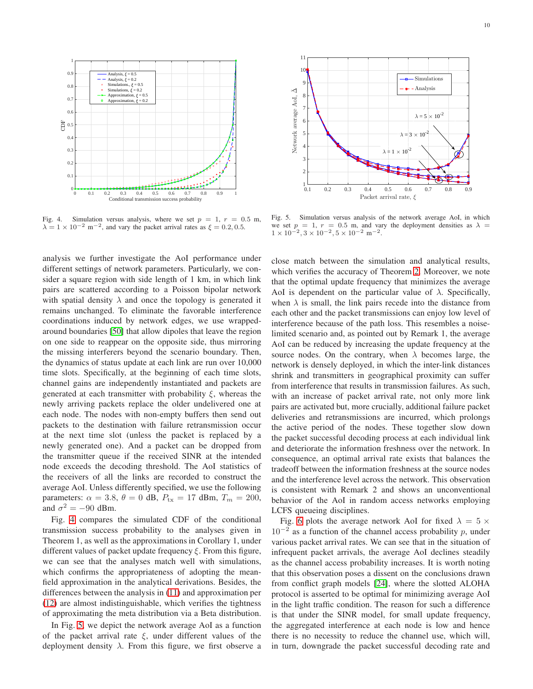

<span id="page-9-0"></span>Fig. 4. Simulation versus analysis, where we set  $p = 1$ ,  $r = 0.5$  m,  $\lambda = 1 \times 10^{-2}$  m<sup>-2</sup>, and vary the packet arrival rates as  $\xi = 0.2, 0.5$ .

analysis we further investigate the AoI performance under different settings of network parameters. Particularly, we consider a square region with side length of 1 km, in which link pairs are scattered according to a Poisson bipolar network with spatial density  $\lambda$  and once the topology is generated it remains unchanged. To eliminate the favorable interference coordinations induced by network edges, we use wrappedaround boundaries [\[50\]](#page-15-14) that allow dipoles that leave the region on one side to reappear on the opposite side, thus mirroring the missing interferers beyond the scenario boundary. Then, the dynamics of status update at each link are run over 10,000 time slots. Specifically, at the beginning of each time slots, channel gains are independently instantiated and packets are generated at each transmitter with probability  $\xi$ , whereas the newly arriving packets replace the older undelivered one at each node. The nodes with non-empty buffers then send out packets to the destination with failure retransmission occur at the next time slot (unless the packet is replaced by a newly generated one). And a packet can be dropped from the transmitter queue if the received SINR at the intended node exceeds the decoding threshold. The AoI statistics of the receivers of all the links are recorded to construct the average AoI. Unless differently specified, we use the following parameters:  $\alpha = 3.8$ ,  $\theta = 0$  dB,  $P_{\text{tx}} = 17$  dBm,  $T_m = 200$ , and  $\sigma^2 = -90$  dBm.

Fig. [4](#page-9-0) compares the simulated CDF of the conditional transmission success probability to the analyses given in Theorem 1, as well as the approximations in Corollary 1, under different values of packet update frequency  $\xi$ . From this figure, we can see that the analyses match well with simulations, which confirms the appropriateness of adopting the meanfield approximation in the analytical derivations. Besides, the differences between the analysis in [\(11\)](#page-5-0) and approximation per [\(12\)](#page-5-5) are almost indistinguishable, which verifies the tightness of approximating the meta distribution via a Beta distribution.

In Fig. [5,](#page-9-1) we depict the network average AoI as a function of the packet arrival rate  $\xi$ , under different values of the deployment density  $\lambda$ . From this figure, we first observe a



<span id="page-9-1"></span>Fig. 5. Simulation versus analysis of the network average AoI, in which we set  $p = 1$ ,  $r = 0.5$  m, and vary the deployment densities as  $\lambda = 1 \times 10^{-2}$ ,  $3 \times 10^{-2}$ ,  $5 \times 10^{-2}$  m<sup>-2</sup>.

close match between the simulation and analytical results, which verifies the accuracy of Theorem [2.](#page-5-6) Moreover, we note that the optimal update frequency that minimizes the average AoI is dependent on the particular value of  $\lambda$ . Specifically, when  $\lambda$  is small, the link pairs recede into the distance from each other and the packet transmissions can enjoy low level of interference because of the path loss. This resembles a noiselimited scenario and, as pointed out by Remark 1, the average AoI can be reduced by increasing the update frequency at the source nodes. On the contrary, when  $\lambda$  becomes large, the network is densely deployed, in which the inter-link distances shrink and transmitters in geographical proximity can suffer from interference that results in transmission failures. As such, with an increase of packet arrival rate, not only more link pairs are activated but, more crucially, additional failure packet deliveries and retransmissions are incurred, which prolongs the active period of the nodes. These together slow down the packet successful decoding process at each individual link and deteriorate the information freshness over the network. In consequence, an optimal arrival rate exists that balances the tradeoff between the information freshness at the source nodes and the interference level across the network. This observation is consistent with Remark 2 and shows an unconventional behavior of the AoI in random access networks employing LCFS queueing disciplines.

Fig. [6](#page-10-0) plots the average network AoI for fixed  $\lambda = 5 \times$  $10^{-2}$  as a function of the channel access probability p, under various packet arrival rates. We can see that in the situation of infrequent packet arrivals, the average AoI declines steadily as the channel access probability increases. It is worth noting that this observation poses a dissent on the conclusions drawn from conflict graph models [\[24\]](#page-14-16), where the slotted ALOHA protocol is asserted to be optimal for minimizing average AoI in the light traffic condition. The reason for such a difference is that under the SINR model, for small update frequency, the aggregated interference at each node is low and hence there is no necessity to reduce the channel use, which will, in turn, downgrade the packet successful decoding rate and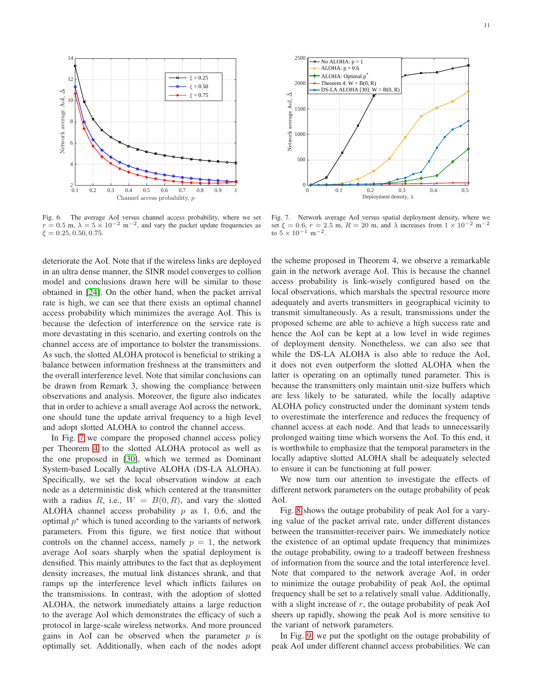

<span id="page-10-0"></span>Fig. 6. The average AoI versus channel access probability, where we set  $r = 0.5$  m,  $\lambda = 5 \times 10^{-2}$  m<sup>-2</sup>, and vary the packet update frequencies as  $\xi = 0.25, 0.50, 0.75.$ 

deteriorate the AoI. Note that if the wireless links are deployed in an ultra dense manner, the SINR model converges to collion model and conclusions drawn here will be similar to those obtained in [\[24\]](#page-14-16). On the other hand, when the packet arrival rate is high, we can see that there exists an optimal channel access probability which minimizes the average AoI. This is because the defection of interference on the service rate is more devastating in this scenario, and exerting controls on the channel access are of importance to bolster the transmissions. As such, the slotted ALOHA protocol is beneficial to striking a balance between information freshness at the transmitters and the overall interference level. Note that similar conclusions can be drawn from Remark 3, showing the compliance between observations and analysis. Moreover, the figure also indicates that in order to achieve a small average AoI across the network, one should tune the update arrival frequency to a high level and adopt slotted ALOHA to control the channel access.

In Fig. [7](#page-10-1) we compare the proposed channel access policy per Theorem [4](#page-8-0) to the slotted ALOHA protocol as well as the one proposed in [\[30\]](#page-14-22), which we termed as Dominant System-based Locally Adaptive ALOHA (DS-LA ALOHA). Specifically, we set the local observation window at each node as a deterministic disk which centered at the transmitter with a radius R, i.e.,  $W = B(0, R)$ , and vary the slotted ALOHA channel access probability  $p$  as 1, 0.6, and the optimal  $p^*$  which is tuned according to the variants of network parameters. From this figure, we first notice that without controls on the channel access, namely  $p = 1$ , the network average AoI soars sharply when the spatial deployment is densified. This mainly attributes to the fact that as deployment density increases, the mutual link distances shrank, and that ramps up the interference level which inflicts failures on the transmissions. In contrast, with the adoption of slotted ALOHA, the network immediately attains a large reduction to the average AoI which demonstrates the efficacy of such a protocol in large-scale wireless networks. And more prounced gains in AoI can be observed when the parameter  $p$  is optimally set. Additionally, when each of the nodes adopt



<span id="page-10-1"></span>Fig. 7. Network average AoI versus spatial deployment density, where we set  $\xi = 0.6$ ,  $r = 2.5$  m,  $R = 20$  m, and  $\lambda$  increases from  $1 \times 10^{-2}$  m<sup>-2</sup> to  $5 \times 10^{-1}$  m<sup>-2</sup>.

the scheme proposed in Theorem 4, we observe a remarkable gain in the network average AoI. This is because the channel access probability is link-wisely configured based on the local observations, which marshals the spectral resource more adequately and averts transmitters in geographical vicinity to transmit simultaneously. As a result, transmissions under the proposed scheme are able to achieve a high success rate and hence the AoI can be kept at a low level in wide regimes of deployment density. Nonetheless, we can also see that while the DS-LA ALOHA is also able to reduce the AoI, it does not even outperform the slotted ALOHA when the latter is operating on an optimally tuned parameter. This is because the transmitters only maintain unit-size buffers which are less likely to be saturated, while the locally adaptive ALOHA policy constructed under the dominant system tends to overestimate the interference and reduces the frequency of channel access at each node. And that leads to unnecessarily prolonged waiting time which worsens the AoI. To this end, it is worthwhile to emphasize that the temporal parameters in the locally adaptive slotted ALOHA shall be adequately selected to ensure it can be functioning at full power.

We now turn our attention to investigate the effects of different network parameters on the outage probability of peak AoI.

Fig. [8](#page-11-1) shows the outage probability of peak AoI for a varying value of the packet arrival rate, under different distances between the transmitter-receiver pairs. We immediately notice the existence of an optimal update frequency that minimizes the outage probability, owing to a tradeoff between freshness of information from the source and the total interference level. Note that compared to the network average AoI, in order to minimize the outage probability of peak AoI, the optimal frequency shall be set to a relatively small value. Additionally, with a slight increase of  $r$ , the outage probability of peak AoI sheers up rapidly, showing the peak AoI is more sensitive to the variant of network parameters.

In Fig. [9,](#page-11-2) we put the spotlight on the outage probability of peak AoI under different channel access probabilities. We can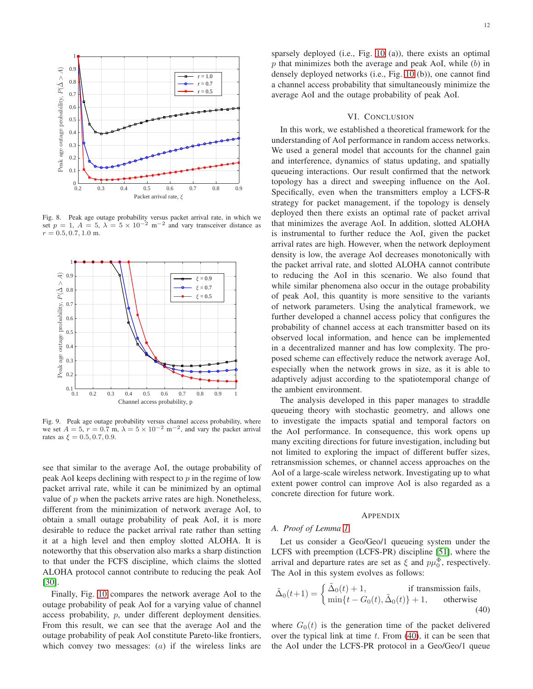

<span id="page-11-1"></span>Fig. 8. Peak age outage probability versus packet arrival rate, in which we set  $p = 1$ ,  $A = 5$ ,  $\lambda = 5 \times 10^{-2}$  m<sup>-2</sup> and vary transceiver distance as  $r = 0.5, 0.7, 1.0$  m.



<span id="page-11-2"></span>Fig. 9. Peak age outage probability versus channel access probability, where we set  $A = 5$ ,  $r = 0.7$  m,  $\lambda = 5 \times 10^{-2}$  m<sup>-2</sup>, and vary the packet arrival rates as  $\xi = 0.5, 0.7, 0.9$ .

see that similar to the average AoI, the outage probability of peak AoI keeps declining with respect to  $p$  in the regime of low packet arrival rate, while it can be minimized by an optimal value of  $p$  when the packets arrive rates are high. Nonetheless, different from the minimization of network average AoI, to obtain a small outage probability of peak AoI, it is more desirable to reduce the packet arrival rate rather than setting it at a high level and then employ slotted ALOHA. It is noteworthy that this observation also marks a sharp distinction to that under the FCFS discipline, which claims the slotted ALOHA protocol cannot contribute to reducing the peak AoI [\[30\]](#page-14-22).

Finally, Fig. [10](#page-12-1) compares the network average AoI to the outage probability of peak AoI for a varying value of channel access probability, p, under different deployment densities. From this result, we can see that the average AoI and the outage probability of peak AoI constitute Pareto-like frontiers, which convey two messages: (*a*) if the wireless links are sparsely deployed (i.e., Fig. [10](#page-12-1) (a)), there exists an optimal  $p$  that minimizes both the average and peak AoI, while  $(b)$  in densely deployed networks (i.e., Fig. [10](#page-12-1) (b)), one cannot find a channel access probability that simultaneously minimize the average AoI and the outage probability of peak AoI.

# VI. CONCLUSION

In this work, we established a theoretical framework for the understanding of AoI performance in random access networks. We used a general model that accounts for the channel gain and interference, dynamics of status updating, and spatially queueing interactions. Our result confirmed that the network topology has a direct and sweeping influence on the AoI. Specifically, even when the transmitters employ a LCFS-R strategy for packet management, if the topology is densely deployed then there exists an optimal rate of packet arrival that minimizes the average AoI. In addition, slotted ALOHA is instrumental to further reduce the AoI, given the packet arrival rates are high. However, when the network deployment density is low, the average AoI decreases monotonically with the packet arrival rate, and slotted ALOHA cannot contribute to reducing the AoI in this scenario. We also found that while similar phenomena also occur in the outage probability of peak AoI, this quantity is more sensitive to the variants of network parameters. Using the analytical framework, we further developed a channel access policy that configures the probability of channel access at each transmitter based on its observed local information, and hence can be implemented in a decentralized manner and has low complexity. The proposed scheme can effectively reduce the network average AoI, especially when the network grows in size, as it is able to adaptively adjust according to the spatiotemporal change of the ambient environment.

The analysis developed in this paper manages to straddle queueing theory with stochastic geometry, and allows one to investigate the impacts spatial and temporal factors on the AoI performance. In consequence, this work opens up many exciting directions for future investigation, including but not limited to exploring the impact of different buffer sizes, retransmission schemes, or channel access approaches on the AoI of a large-scale wireless network. Investigating up to what extent power control can improve AoI is also regarded as a concrete direction for future work.

## <span id="page-11-3"></span>APPENDIX

## <span id="page-11-0"></span>*A. Proof of Lemma [1](#page-4-0)*

Let us consider a Geo/Geo/1 queueing system under the LCFS with preemption (LCFS-PR) discipline [\[51\]](#page-15-15), where the arrival and departure rates are set as  $\xi$  and  $p\mu_0^{\Phi}$ , respectively. The AoI in this system evolves as follows:

$$
\tilde{\Delta}_0(t+1) = \begin{cases} \tilde{\Delta}_0(t) + 1, & \text{if transmission fails,} \\ \min\{t - G_0(t), \tilde{\Delta}_0(t)\} + 1, & \text{otherwise} \end{cases}
$$
\n(40)

where  $G_0(t)$  is the generation time of the packet delivered over the typical link at time  $t$ . From  $(40)$ , it can be seen that the AoI under the LCFS-PR protocol in a Geo/Geo/1 queue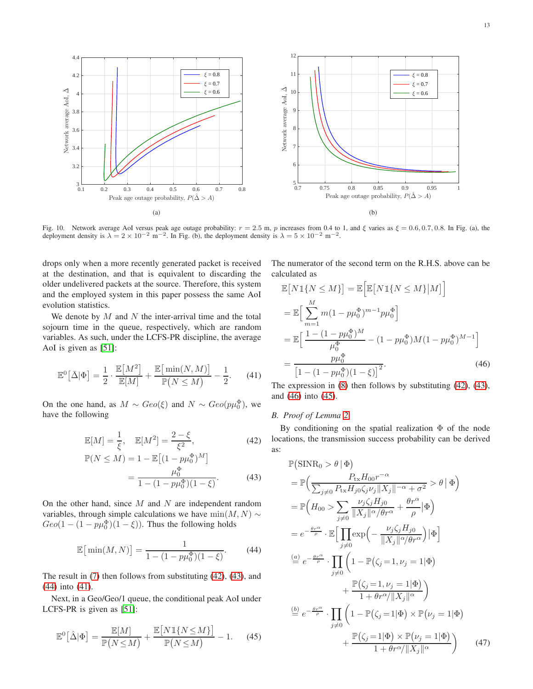

<span id="page-12-1"></span>Fig. 10. Network average AoI versus peak age outage probability:  $r = 2.5$  m, p increases from 0.4 to 1, and  $\xi$  varies as  $\xi = 0.6, 0.7, 0.8$ . In Fig. (a), the deployment density is  $\lambda = 2 \times 10^{-2}$  m<sup>-2</sup>. In Fig. (b), the deployment density is  $\lambda = 5 \times 10^{-2}$  m<sup>-2</sup>.

drops only when a more recently generated packet is received at the destination, and that is equivalent to discarding the older undelivered packets at the source. Therefore, this system and the employed system in this paper possess the same AoI evolution statistics.

We denote by  $M$  and  $N$  the inter-arrival time and the total sojourn time in the queue, respectively, which are random variables. As such, under the LCFS-PR discipline, the average AoI is given as [\[51\]](#page-15-15):

$$
\mathbb{E}^0\big[\bar{\Delta}|\Phi\big] = \frac{1}{2} \cdot \frac{\mathbb{E}\big[M^2\big]}{\mathbb{E}[M]} + \frac{\mathbb{E}\big[\min(N,M)\big]}{\mathbb{P}\big(N\leq M\big)} - \frac{1}{2}.\tag{41}
$$

On the one hand, as  $M \sim Geo(\xi)$  and  $N \sim Geo(p\mu_0^{\Phi})$ , we have the following

$$
\mathbb{E}[M] = \frac{1}{\xi}, \quad \mathbb{E}[M^2] = \frac{2 - \xi}{\xi^2},
$$
\n
$$
\mathbb{P}(N < M) = 1 - \mathbb{E}[(1 - n\mu^{\Phi})^M]
$$
\n(42)

$$
\mathbb{P}(N \le M) = 1 - \mathbb{E}\left[ (1 - p\mu_0^{\Phi})^M \right] \n= \frac{\mu_0^{\Phi}}{1 - (1 - p\mu_0^{\Phi})(1 - \xi)}.
$$
\n(43)

On the other hand, since  $M$  and  $N$  are independent random variables, through simple calculations we have min $(M, N)$  ∼  $Geo(1 - (1 - p\mu_0^{\Phi})(1 - \xi))$ . Thus the following holds

$$
\mathbb{E}\big[\min(M, N)\big] = \frac{1}{1 - (1 - p\mu_0^{\Phi})(1 - \xi)}.\tag{44}
$$

The result in [\(7\)](#page-4-1) then follows from substituting [\(42\)](#page-12-2), [\(43\)](#page-12-3), and [\(44\)](#page-12-4) into [\(41\)](#page-12-5).

Next, in a Geo/Geo/1 queue, the conditional peak AoI under LCFS-PR is given as [\[51\]](#page-15-15):

$$
\mathbb{E}^0\big[\hat{\Delta}|\Phi\big] = \frac{\mathbb{E}[M]}{\mathbb{P}(N \le M)} + \frac{\mathbb{E}\big[N\mathbb{1}\{N \le M\}\big]}{\mathbb{P}(N \le M)} - 1. \tag{45}
$$

The numerator of the second term on the R.H.S. above can be calculated as

$$
\mathbb{E}[N1\{N \le M\}] = \mathbb{E}\Big[\mathbb{E}[N1\{N \le M\}|M]\Big]
$$
\n
$$
= \mathbb{E}\Big[\sum_{m=1}^{M} m(1 - p\mu_0^{\Phi})^{m-1} p\mu_0^{\Phi}\Big]
$$
\n
$$
= \mathbb{E}\Big[\frac{1 - (1 - p\mu_0^{\Phi})^M}{\mu_0^{\Phi}} - (1 - p\mu_0^{\Phi})M(1 - p\mu_0^{\Phi})^{M-1}\Big]
$$
\n
$$
= \frac{p\mu_0^{\Phi}}{[1 - (1 - p\mu_0^{\Phi})(1 - \xi)]^2}.
$$
\n(46)

<span id="page-12-6"></span><span id="page-12-5"></span>The expression in [\(8\)](#page-4-4) then follows by substituting [\(42\)](#page-12-2), [\(43\)](#page-12-3), and [\(46\)](#page-12-6) into [\(45\)](#page-12-7).

# <span id="page-12-0"></span>*B. Proof of Lemma [2](#page-4-5)*

<span id="page-12-2"></span>By conditioning on the spatial realization  $\Phi$  of the node locations, the transmission success probability can be derived as:

<span id="page-12-7"></span><span id="page-12-4"></span><span id="page-12-3"></span>
$$
\mathbb{P}\left(\text{SINR}_{0} > \theta | \Phi\right)
$$
\n
$$
= \mathbb{P}\left(\frac{P_{\text{tx}}H_{00}r^{-\alpha}}{\sum_{j\neq 0}P_{\text{tx}}H_{j0}\zeta_{j}v_{j}||X_{j}||^{-\alpha} + \sigma^{2}} > \theta | \Phi\right)
$$
\n
$$
= \mathbb{P}\left(H_{00} > \sum_{j\neq 0} \frac{\nu_{j}\zeta_{j}H_{j0}}{||X_{j}||^{\alpha}/\theta r^{\alpha}} + \frac{\theta r^{\alpha}}{\rho} | \Phi\right)
$$
\n
$$
= e^{-\frac{\theta r^{\alpha}}{\rho}} \cdot \mathbb{E}\Big[\prod_{j\neq 0} \exp\Big(-\frac{\nu_{j}\zeta_{j}H_{j0}}{||X_{j}||^{\alpha}/\theta r^{\alpha}}\Big)| \Phi\Big]
$$
\n
$$
\stackrel{(a)}{=} e^{-\frac{\theta r^{\alpha}}{\rho}} \cdot \prod_{j\neq 0} \left(1 - \mathbb{P}\big(\zeta_{j} = 1, \nu_{j} = 1 | \Phi\big) + \frac{\mathbb{P}\big(\zeta_{j} = 1, \nu_{j} = 1 | \Phi\big)}{1 + \theta r^{\alpha}/||X_{j}||^{\alpha}}\right)
$$
\n
$$
\stackrel{(b)}{=} e^{-\frac{\theta r^{\alpha}}{\rho}} \cdot \prod_{j\neq 0} \left(1 - \mathbb{P}\big(\zeta_{j} = 1 | \Phi\big) \times \mathbb{P}\big(\nu_{j} = 1 | \Phi\big) + \frac{\mathbb{P}\big(\zeta_{j} = 1 | \Phi\big) \times \mathbb{P}\big(\nu_{j} = 1 | \Phi\big)}{1 + \theta r^{\alpha}/||X_{j}||^{\alpha}}\right) \tag{47}
$$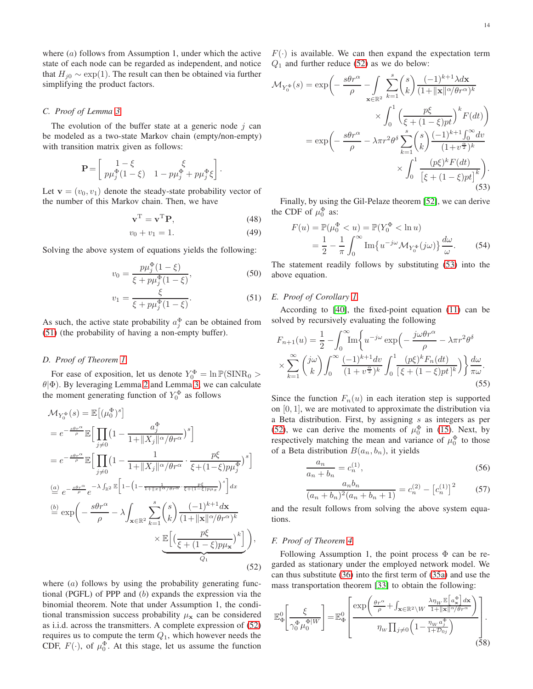where (*a*) follows from Assumption 1, under which the active state of each node can be regarded as independent, and notice that  $H_{j0} \sim \exp(1)$ . The result can then be obtained via further simplifying the product factors.

#### <span id="page-13-0"></span>*C. Proof of Lemma [3](#page-5-8)*

The evolution of the buffer state at a generic node  $i$  can be modeled as a two-state Markov chain (empty/non-empty) with transition matrix given as follows:

$$
\mathbf{P} = \begin{bmatrix} 1 - \xi & \xi \\ p\mu_j^{\Phi}(1 - \xi) & 1 - p\mu_j^{\Phi} + p\mu_j^{\Phi}\xi \end{bmatrix}.
$$

Let  $\mathbf{v} = (v_0, v_1)$  denote the steady-state probability vector of the number of this Markov chain. Then, we have

$$
\mathbf{v}^{\mathrm{T}} = \mathbf{v}^{\mathrm{T}} \mathbf{P},\tag{48}
$$

$$
v_0 + v_1 = 1. \t\t(49)
$$

Solving the above system of equations yields the following:

$$
v_0 = \frac{p\mu_j^{\Phi}(1-\xi)}{\xi + p\mu_j^{\Phi}(1-\xi)},
$$
\n(50)

$$
v_1 = \frac{\xi}{\xi + p\mu_j^{\Phi}(1 - \xi)}.
$$
\n(51)

As such, the active state probability  $a_j^{\Phi}$  can be obtained from [\(51\)](#page-13-4) (the probability of having a non-empty buffer).

#### <span id="page-13-1"></span>*D. Proof of Theorem [1](#page-5-1)*

For ease of exposition, let us denote  $Y_0^{\Phi} = \ln \mathbb{P}(\text{SINR}_0 >$  $\theta|\Phi)$ . By leveraging Lemma [2](#page-4-5) and Lemma [3,](#page-5-8) we can calculate the moment generating function of  $Y_0^{\Phi}$  as follows

$$
\mathcal{M}_{Y_0^{\Phi}}(s) = \mathbb{E}\left[(\mu_0^{\Phi})^s\right]
$$
  
\n
$$
= e^{-\frac{s\theta r^{\alpha}}{\rho}} \mathbb{E}\left[\prod_{j\neq 0} \left(1 - \frac{a_j^{\Phi}}{1 + \|X_j\|^{\alpha}/\theta r^{\alpha}}\right)^s\right]
$$
  
\n
$$
= e^{-\frac{s\theta r^{\alpha}}{\rho}} \mathbb{E}\left[\prod_{j\neq 0} \left(1 - \frac{1}{1 + \|X_j\|^{\alpha}/\theta r^{\alpha}} \cdot \frac{p\xi}{\xi + (1 - \xi)p\mu_j^{\Phi}}\right)^s\right]
$$
  
\n
$$
\stackrel{(a)}{=} e^{-\frac{s\theta r^{\alpha}}{\rho}} e^{-\lambda \int_{\mathbb{R}^2} \mathbb{E}\left[1 - \left(1 - \frac{1}{1 + \|x\|^{\alpha}/\theta r^{\alpha}} \cdot \frac{r\xi}{\xi + (1 - \xi)p\mu_x}\right)^s\right] dx}
$$
  
\n
$$
\stackrel{(b)}{=} \exp\left(-\frac{s\theta r^{\alpha}}{\rho} - \lambda \int_{\mathbf{x} \in \mathbb{R}^2} \sum_{k=1}^s {s \choose k} \frac{(-1)^{k+1} dx}{(1 + \|x\|^{\alpha}/\theta r^{\alpha})^k}
$$
  
\n
$$
\times \underbrace{\mathbb{E}\left[\left(\frac{p\xi}{\xi + (1 - \xi)p\mu_x}\right)^k\right]}_{Q_1}, \qquad (52)
$$

where  $(a)$  follows by using the probability generating functional (PGFL) of PPP and (b) expands the expression via the binomial theorem. Note that under Assumption 1, the conditional transmission success probability  $\mu_{\mathbf{x}}$  can be considered as i.i.d. across the transmitters. A complete expression of [\(52\)](#page-13-5) requires us to compute the term  $Q_1$ , which however needs the CDF,  $F(\cdot)$ , of  $\mu_0^{\Phi}$ . At this stage, let us assume the function  $F(\cdot)$  is available. We can then expand the expectation term  $Q_1$  and further reduce [\(52\)](#page-13-5) as we do below:

$$
\mathcal{M}_{Y_0^{\Phi}}(s) = \exp\left(-\frac{s\theta r^{\alpha}}{\rho} - \int\limits_{\mathbf{x}\in\mathbb{R}^2} \sum_{k=1}^s \binom{s}{k} \frac{(-1)^{k+1} \lambda d\mathbf{x}}{(1+\|\mathbf{x}\|^\alpha/\theta r^{\alpha})^k} \right)
$$

$$
\times \int_0^1 \left(\frac{p\xi}{\xi + (1-\xi)pt}\right)^k F(dt) \right)
$$

$$
= \exp\left(-\frac{s\theta r^{\alpha}}{\rho} - \lambda \pi r^2 \theta^{\delta} \sum_{k=1}^s \binom{s}{k} \frac{(-1)^{k+1} \int_0^\infty dv}{(1+v^{\frac{\alpha}{2}})^k} \right)
$$

$$
\times \int_0^1 \frac{(p\xi)^k F(dt)}{\left[\xi + (1-\xi)pt\right]^k}.
$$
(53)

Finally, by using the Gil-Pelaze theorem [\[52\]](#page-15-16), we can derive the CDF of  $\mu_0^{\Phi}$  as:

<span id="page-13-6"></span>
$$
F(u) = \mathbb{P}(\mu_0^{\Phi} < u) = \mathbb{P}(Y_0^{\Phi} < \ln u)
$$
\n
$$
= \frac{1}{2} - \frac{1}{\pi} \int_0^{\infty} \text{Im}\{u^{-j\omega} \mathcal{M}_{Y_0^{\Phi}}(j\omega)\} \frac{d\omega}{\omega}.
$$
\n(54)

The statement readily follows by substituting [\(53\)](#page-13-6) into the above equation.

# <span id="page-13-4"></span><span id="page-13-2"></span>*E. Proof of Corollary [1](#page-5-2)*

According to [\[40\]](#page-15-4), the fixed-point equation [\(11\)](#page-5-0) can be solved by recursively evaluating the following

$$
F_{n+1}(u) = \frac{1}{2} - \int_0^\infty \operatorname{Im} \left\{ u^{-j\omega} \exp\left( -\frac{j\omega\theta r^{\alpha}}{\rho} - \lambda \pi r^2 \theta^{\delta} \right) \times \sum_{k=1}^\infty \binom{j\omega}{k} \int_0^\infty \frac{(-1)^{k+1} dv}{(1+v^{\frac{\alpha}{2}})^k} \int_0^1 \frac{(p\xi)^k F_n(dt)}{[\xi + (1-\xi)pt]^k} \right\} \frac{d\omega}{\pi \omega}.
$$
\n(55)

Since the function  $F_n(u)$  in each iteration step is supported on  $[0, 1]$ , we are motivated to approximate the distribution via a Beta distribution. First, by assigning  $s$  as integers as per [\(52\)](#page-13-5), we can derive the moments of  $\mu_0^{\Phi}$  in [\(15\)](#page-5-9). Next, by respectively matching the mean and variance of  $\mu_0^{\Phi}$  to those of a Beta distribution  $B(a_n, b_n)$ , it yields

$$
\frac{a_n}{a_n + b_n} = c_n^{(1)},\tag{56}
$$

$$
\frac{a_n b_n}{(a_n + b_n)^2 (a_n + b_n + 1)} = c_n^{(2)} - [c_n^{(1)}]^2
$$
 (57)

and the result follows from solving the above system equations.

## <span id="page-13-3"></span>*F. Proof of Theorem [4](#page-8-0)*

<span id="page-13-5"></span>Following Assumption 1, the point process  $\Phi$  can be regarded as stationary under the employed network model. We can thus substitute [\(36\)](#page-7-6) into the first term of [\(35a\)](#page-7-7) and use the mass transportation theorem [\[33\]](#page-14-25) to obtain the following:

<span id="page-13-7"></span>
$$
\mathbb{E}_{\Phi}^{0}\left[\frac{\xi}{\gamma_0^{\Phi}\mu_0^{\Phi|W}}\right] = \mathbb{E}_{\Phi}^{0}\left[\frac{\exp\left(\frac{\theta r^{\alpha}}{\rho} + \int_{\mathbf{x}\in\mathbb{R}^2\backslash W} \frac{\lambda\eta_W \mathbb{E}\left[a_{\mathbf{x}}^{\Phi}\right]d\mathbf{x}}{1 + ||\mathbf{x}||^{\alpha}/\theta r^{\alpha}}\right)}{\eta_W \prod_{j\neq 0} \left(1 - \frac{\eta_W a_j^{\Phi}}{1 + D_{0j}}\right)}\right].
$$
\n(58)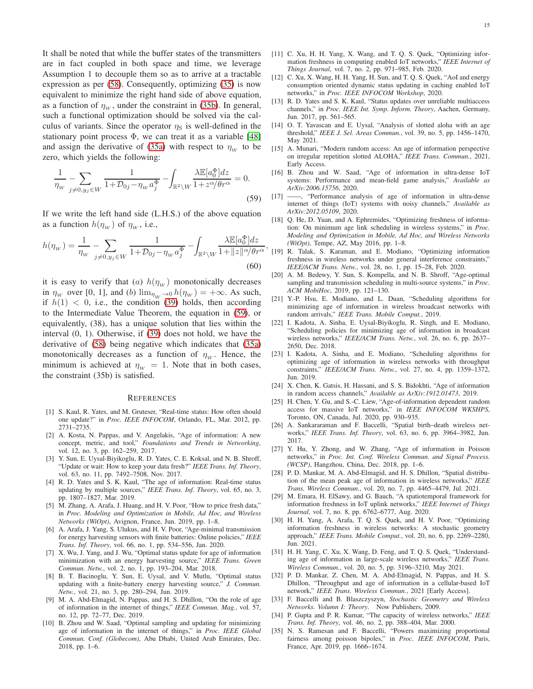It shall be noted that while the buffer states of the transmitters are in fact coupled in both space and time, we leverage Assumption 1 to decouple them so as to arrive at a tractable expression as per [\(58\)](#page-13-7). Consequently, optimizing [\(35\)](#page-7-4) is now equivalent to minimize the right hand side of above equation, as a function of  $\eta_w$ , under the constraint in [\(35b\)](#page-7-2). In general, such a functional optimization should be solved via the calculus of variants. Since the operator  $\eta_s$  is well-defined in the stationary point process  $\Phi$ , we can treat it as a variable [\[48\]](#page-15-12) and assign the derivative of [\(35a\)](#page-7-7) with respect to  $\eta_w$  to be zero, which yields the following:

$$
\frac{1}{\eta_w} \sum_{j \neq 0, y_j \in W} \frac{1}{1 + \mathcal{D}_{0j} - \eta_w a_j^{\Phi}} - \int_{\mathbb{R}^2 \setminus W} \frac{\lambda \mathbb{E}[a_0^{\Phi}] dz}{1 + z^{\alpha} / \theta r^{\alpha}} = 0.
$$
\n(59)

If we write the left hand side (L.H.S.) of the above equation as a function  $h(\eta_w)$  of  $\eta_w$ , i.e.,

$$
h(\eta_w) = \frac{1}{\eta_w} \sum_{j \neq 0, y_j \in W} \frac{1}{1 + \mathcal{D}_{0j} - \eta_w a_j^{\Phi}} - \int_{\mathbb{R}^2 \setminus W} \frac{\lambda \mathbb{E}[a_0^{\Phi}] dz}{1 + \|z\| \gamma / \theta r^{\alpha}},
$$
\n(60)

it is easy to verify that (a)  $h(\eta_w)$  monotonically decreases in  $\eta_w$  over [0, 1], and (b)  $\lim_{\eta_w \to 0} h(\eta_w) = +\infty$ . As such, if  $h(1) < 0$ , i.e., the condition [\(39\)](#page-8-1) holds, then according to the Intermediate Value Theorem, the equation in [\(59\)](#page-14-28), or equivalently, (38), has a unique solution that lies within the interval (0, 1). Otherwise, if [\(39\)](#page-8-1) does not hold, we have the derivative of [\(58\)](#page-13-7) being negative which indicates that [\(35a\)](#page-7-7) monotonically decreases as a function of  $\eta_w$ . Hence, the minimum is achieved at  $\eta_w = 1$ . Note that in both cases, the constraint (35b) is satisfied.

#### **REFERENCES**

- <span id="page-14-0"></span>[1] S. Kaul, R. Yates, and M. Gruteser, "Real-time status: How often should one update?" in *Proc. IEEE INFOCOM*, Orlando, FL, Mar. 2012, pp. 2731–2735.
- <span id="page-14-1"></span>[2] A. Kosta, N. Pappas, and V. Angelakis, "Age of information: A new concept, metric, and tool," *Foundations and Trends in Networking*, vol. 12, no. 3, pp. 162–259, 2017.
- [3] Y. Sun, E. Uysal-Biyikoglu, R. D. Yates, C. E. Koksal, and N. B. Shroff, "Update or wait: How to keep your data fresh?" *IEEE Trans. Inf. Theory*, vol. 63, no. 11, pp. 7492–7508, Nov. 2017.
- [4] R. D. Yates and S. K. Kaul, "The age of information: Real-time status updating by multiple sources," *IEEE Trans. Inf. Theory*, vol. 65, no. 3, pp. 1807–1827, Mar. 2019.
- [5] M. Zhang, A. Arafa, J. Huang, and H. V. Poor, "How to price fresh data," in *Proc. Modeling and Optimization in Mobile, Ad Hoc, and Wireless Networks (WiOpt)*, Avignon, France, Jun. 2019, pp. 1–8.
- [6] A. Arafa, J. Yang, S. Ulukus, and H. V. Poor, "Age-minimal transmission for energy harvesting sensors with finite batteries: Online policies," *IEEE Trans. Inf. Theory*, vol. 66, no. 1, pp. 534–556, Jan. 2020.
- [7] X. Wu, J. Yang, and J. Wu, "Optimal status update for age of information minimization with an energy harvesting source," *IEEE Trans. Green Commun. Netw.*, vol. 2, no. 1, pp. 193–204, Mar. 2018.
- <span id="page-14-2"></span>[8] B. T. Bacinoglu, Y. Sun, E. Uysal, and V. Mutlu, "Optimal status updating with a finite-battery energy harvesting source," *J. Commun. Netw.*, vol. 21, no. 3, pp. 280–294, Jun. 2019.
- <span id="page-14-3"></span>[9] M. A. Abd-Elmagid, N. Pappas, and H. S. Dhillon, "On the role of age of information in the internet of things," *IEEE Commun. Mag.*, vol. 57, no. 12, pp. 72–77, Dec. 2019.
- [10] B. Zhou and W. Saad, "Optimal sampling and updating for minimizing age of information in the internet of things," in *Proc. IEEE Global Commun. Conf. (Globecom)*, Abu Dhabi, United Arab Emirates, Dec. 2018, pp. 1–6.
- [11] C. Xu, H. H. Yang, X. Wang, and T. Q. S. Quek, "Optimizing information freshness in computing enabled IoT networks," *IEEE Internet of Things Journal*, vol. 7, no. 2, pp. 971–985, Feb. 2020.
- <span id="page-14-4"></span>[12] C. Xu, X. Wang, H. H. Yang, H. Sun, and T. Q. S. Quek, "AoI and energy consumption oriented dynamic status updating in caching enabled IoT networks," in *Proc. IEEE INFOCOM Workshop*, 2020.
- <span id="page-14-5"></span>[13] R. D. Yates and S. K. Kaul, "Status updates over unreliable multiaccess channels," in *Proc. IEEE Int. Symp. Inform. Theory*, Aachen, Germany, Jun. 2017, pp. 561–565.
- <span id="page-14-7"></span>[14] O. T. Yavascan and E. Uysal, "Analysis of slotted aloha with an age threshold," *IEEE J. Sel. Areas Commun.*, vol. 39, no. 5, pp. 1456–1470, May 2021.
- <span id="page-14-8"></span>[15] A. Munari, "Modern random access: An age of information perspective on irregular repetition slotted ALOHA," *IEEE Trans. Commun.*, 2021, Early Access.
- <span id="page-14-9"></span>[16] B. Zhou and W. Saad, "Age of information in ultra-dense IoT systems: Performance and mean-field game analysis," *Available as ArXiv:2006.15756*, 2020.
- <span id="page-14-28"></span><span id="page-14-10"></span>[17] ——, "Performance analysis of age of information in ultra-dense internet of things (IoT) systems with noisy channels," *Available as ArXiv:2012.05109*, 2020.
- <span id="page-14-11"></span>[18] Q. He, D. Yuan, and A. Ephremides, "Optimizing freshness of information: On minimum age link scheduling in wireless systems," in *Proc. Modeling and Optimization in Mobile, Ad Hoc, and Wireless Networks (WiOpt)*, Tempe, AZ, May 2016, pp. 1–8.
- <span id="page-14-12"></span>[19] R. Talak, S. Karaman, and E. Modiano, "Optimizing information freshness in wireless networks under general interference constraints," *IEEE/ACM Trans. Netw.*, vol. 28, no. 1, pp. 15–28, Feb. 2020.
- <span id="page-14-13"></span>[20] A. M. Bedewy, Y. Sun, S. Kompella, and N. B. Shroff, "Age-optimal sampling and transmission scheduling in multi-source systems," in *Proc. ACM MobiHoc*, 2019, pp. 121–130.
- <span id="page-14-15"></span>[21] Y.-P. Hsu, E. Modiano, and L. Duan, "Scheduling algorithms for minimizing age of information in wireless broadcast networks with random arrivals," *IEEE Trans. Mobile Comput.*, 2019.
- <span id="page-14-14"></span>[22] I. Kadota, A. Sinha, E. Uysal-Biyikoglu, R. Singh, and E. Modiano, "Scheduling policies for minimizing age of information in broadcast wireless networks," *IEEE/ACM Trans. Netw.*, vol. 26, no. 6, pp. 2637– 2650, Dec. 2018.
- <span id="page-14-6"></span>[23] I. Kadota, A. Sinha, and E. Modiano, "Scheduling algorithms for optimizing age of information in wireless networks with throughput constraints," *IEEE/ACM Trans. Netw.*, vol. 27, no. 4, pp. 1359–1372, Jun. 2019.
- <span id="page-14-16"></span>[24] X. Chen, K. Gatsis, H. Hassani, and S. S. Bidokhti, "Age of information in random access channels," *Available as ArXiv:1912.01473*, 2019.
- <span id="page-14-17"></span>[25] H. Chen, Y. Gu, and S.-C. Liew, "Age-of-information dependent random access for massive IoT networks," in *IEEE INFOCOM WKSHPS*, Toronto, ON, Canada, Jul. 2020, pp. 930–935.
- <span id="page-14-18"></span>[26] A. Sankararaman and F. Baccelli, "Spatial birth–death wireless networks," *IEEE Trans. Inf. Theory*, vol. 63, no. 6, pp. 3964–3982, Jun. 2017.
- <span id="page-14-19"></span>[27] Y. Hu, Y. Zhong, and W. Zhang, "Age of information in Poisson networks," in *Proc. Int. Conf. Wireless Commun. and Signal Process. (WCSP)*, Hangzhou, China, Dec. 2018, pp. 1–6.
- <span id="page-14-21"></span>[28] P. D. Mankar, M. A. Abd-Elmagid, and H. S. Dhillon, "Spatial distribution of the mean peak age of information in wireless networks," *IEEE Trans. Wireless Commun.*, vol. 20, no. 7, pp. 4465–4479, Jul. 2021.
- <span id="page-14-23"></span>[29] M. Emara, H. ElSawy, and G. Bauch, "A spatiotemporal framework for information freshness in IoT uplink networks," *IEEE Internet of Things Journal*, vol. 7, no. 8, pp. 6762–6777, Aug. 2020.
- <span id="page-14-22"></span>[30] H. H. Yang, A. Arafa, T. Q. S. Quek, and H. V. Poor, "Optimizing information freshness in wireless networks: A stochastic geometry approach," *IEEE Trans. Mobile Comput.*, vol. 20, no. 6, pp. 2269–2280, Jun. 2021.
- <span id="page-14-24"></span>[31] H. H. Yang, C. Xu, X. Wang, D. Feng, and T. Q. S. Quek, "Understanding age of information in large-scale wireless networks," *IEEE Trans. Wireless Commun.*, vol. 20, no. 5, pp. 3196–3210, May 2021.
- <span id="page-14-20"></span>[32] P. D. Mankar, Z. Chen, M. A. Abd-Elmagid, N. Pappas, and H. S. Dhillon, "Throughput and age of information in a cellular-based IoT network," *IEEE Trans. Wireless Commun.*, 2021 [Early Access].
- <span id="page-14-25"></span>[33] F. Baccelli and B. Blaszczyszyn, *Stochastic Geometry and Wireless Networks. Volumn I: Theory*. Now Publishers, 2009.
- <span id="page-14-26"></span>[34] P. Gupta and P. R. Kumar, "The capacity of wireless networks," *IEEE Trans. Inf. Theory*, vol. 46, no. 2, pp. 388–404, Mar. 2000.
- <span id="page-14-27"></span>[35] N. S. Ramesan and F. Baccelli, "Powers maximizing proportional fairness among poisson bipoles," in *Proc. IEEE INFOCOM*, Paris, France, Apr. 2019, pp. 1666–1674.